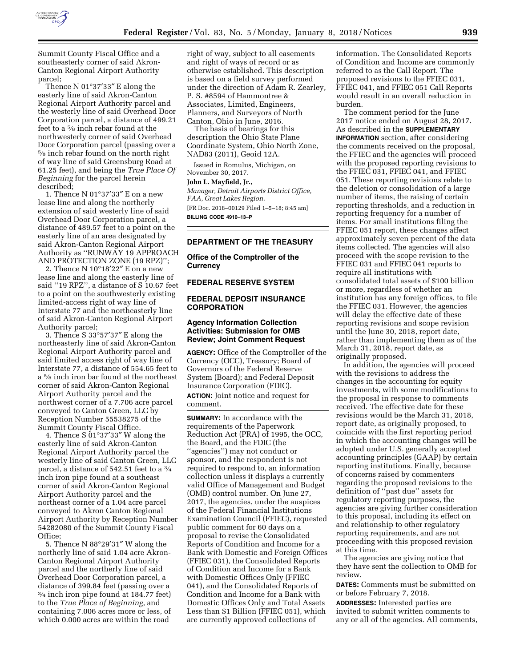

Summit County Fiscal Office and a southeasterly corner of said Akron-Canton Regional Airport Authority parcel;

Thence N 01°37′33″ E along the easterly line of said Akron-Canton Regional Airport Authority parcel and the westerly line of said Overhead Door Corporation parcel, a distance of 499.21 feet to a 5⁄8 inch rebar found at the northwesterly corner of said Overhead Door Corporation parcel (passing over a 5⁄8 inch rebar found on the north right of way line of said Greensburg Road at 61.25 feet), and being the *True Place Of Beginning* for the parcel herein described;

1. Thence N 01°37′33″ E on a new lease line and along the northerly extension of said westerly line of said Overhead Door Corporation parcel, a distance of 489.57 feet to a point on the easterly line of an area designated by said Akron-Canton Regional Airport Authority as ''RUNWAY 19 APPROACH AND PROTECTION ZONE (19 RPZ)'';

2. Thence N 10°18′22″ E on a new lease line and along the easterly line of said ''19 RPZ'', a distance of S 10.67 feet to a point on the southwesterly existing limited-access right of way line of Interstate 77 and the northeasterly line of said Akron-Canton Regional Airport Authority parcel;

3. Thence S 33°57′37″ E along the northeasterly line of said Akron-Canton Regional Airport Authority parcel and said limited access right of way line of Interstate 77, a distance of 554.65 feet to a 5⁄8 inch iron bar found at the northeast corner of said Akron-Canton Regional Airport Authority parcel and the northwest corner of a 7.706 acre parcel conveyed to Canton Green, LLC by Reception Number 55538275 of the Summit County Fiscal Office.

4. Thence S  $01^{\circ}37'33''$  W along the easterly line of said Akron-Canton Regional Airport Authority parcel the westerly line of said Canton Green, LLC parcel, a distance of 542.51 feet to a 3⁄4 inch iron pipe found at a southeast corner of said Akron-Canton Regional Airport Authority parcel and the northeast corner of a 1.04 acre parcel conveyed to Akron Canton Regional Airport Authority by Reception Number 54282080 of the Summit County Fiscal Office;

5. Thence N 88°29′31″ W along the northerly line of said 1.04 acre Akron-Canton Regional Airport Authority parcel and the northerly line of said Overhead Door Corporation parcel, a distance of 399.84 feet (passing over a 3⁄4 inch iron pipe found at 184.77 feet) to the *True Place of Beginning*, and containing 7.006 acres more or less, of which 0.000 acres are within the road

right of way, subject to all easements and right of ways of record or as otherwise established. This description is based on a field survey performed under the direction of Adam R. Zearley, P. S. #8594 of Hammontree & Associates, Limited, Engineers, Planners, and Surveyors of North Canton, Ohio in June, 2016.

The basis of bearings for this description the Ohio State Plane Coordinate System, Ohio North Zone, NAD83 (2011), Geoid 12A.

Issued in Romulus, Michigan, on November 30, 2017.

#### **John L. Mayfield, Jr.,**

*Manager, Detroit Airports District Office, FAA, Great Lakes Region.*  [FR Doc. 2018–00129 Filed 1–5–18; 8:45 am]

**BILLING CODE 4910–13–P** 

### **DEPARTMENT OF THE TREASURY**

**Office of the Comptroller of the Currency** 

**FEDERAL RESERVE SYSTEM** 

#### **FEDERAL DEPOSIT INSURANCE CORPORATION**

#### **Agency Information Collection Activities: Submission for OMB Review; Joint Comment Request**

**AGENCY:** Office of the Comptroller of the Currency (OCC), Treasury; Board of Governors of the Federal Reserve System (Board); and Federal Deposit Insurance Corporation (FDIC). **ACTION:** Joint notice and request for comment.

**SUMMARY:** In accordance with the requirements of the Paperwork Reduction Act (PRA) of 1995, the OCC, the Board, and the FDIC (the ''agencies'') may not conduct or sponsor, and the respondent is not required to respond to, an information collection unless it displays a currently valid Office of Management and Budget (OMB) control number. On June 27, 2017, the agencies, under the auspices of the Federal Financial Institutions Examination Council (FFIEC), requested public comment for 60 days on a proposal to revise the Consolidated Reports of Condition and Income for a Bank with Domestic and Foreign Offices (FFIEC 031), the Consolidated Reports of Condition and Income for a Bank with Domestic Offices Only (FFIEC 041), and the Consolidated Reports of Condition and Income for a Bank with Domestic Offices Only and Total Assets Less than \$1 Billion (FFIEC 051), which are currently approved collections of

information. The Consolidated Reports of Condition and Income are commonly referred to as the Call Report. The proposed revisions to the FFIEC 031, FFIEC 041, and FFIEC 051 Call Reports would result in an overall reduction in burden.

The comment period for the June 2017 notice ended on August 28, 2017. As described in the **SUPPLEMENTARY INFORMATION** section, after considering the comments received on the proposal, the FFIEC and the agencies will proceed with the proposed reporting revisions to the FFIEC 031, FFIEC 041, and FFIEC 051. These reporting revisions relate to the deletion or consolidation of a large number of items, the raising of certain reporting thresholds, and a reduction in reporting frequency for a number of items. For small institutions filing the FFIEC 051 report, these changes affect approximately seven percent of the data items collected. The agencies will also proceed with the scope revision to the FFIEC 031 and FFIEC 041 reports to require all institutions with consolidated total assets of \$100 billion or more, regardless of whether an institution has any foreign offices, to file the FFIEC 031. However, the agencies will delay the effective date of these reporting revisions and scope revision until the June 30, 2018, report date, rather than implementing them as of the March 31, 2018, report date, as originally proposed.

In addition, the agencies will proceed with the revisions to address the changes in the accounting for equity investments, with some modifications to the proposal in response to comments received. The effective date for these revisions would be the March 31, 2018, report date, as originally proposed, to coincide with the first reporting period in which the accounting changes will be adopted under U.S. generally accepted accounting principles (GAAP) by certain reporting institutions. Finally, because of concerns raised by commenters regarding the proposed revisions to the definition of ''past due'' assets for regulatory reporting purposes, the agencies are giving further consideration to this proposal, including its effect on and relationship to other regulatory reporting requirements, and are not proceeding with this proposed revision at this time.

The agencies are giving notice that they have sent the collection to OMB for review.

**DATES:** Comments must be submitted on or before February 7, 2018.

**ADDRESSES:** Interested parties are invited to submit written comments to any or all of the agencies. All comments,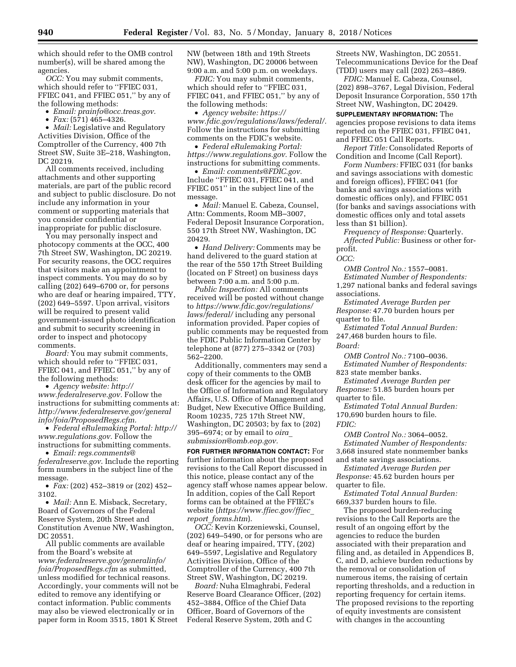which should refer to the OMB control number(s), will be shared among the agencies.

*OCC:* You may submit comments, which should refer to ''FFIEC 031, FFIEC 041, and FFIEC 051,'' by any of the following methods:

• *Email: [prainfo@occ.treas.gov.](mailto:prainfo@occ.treas.gov)* 

•  $Fax: (571)$  465–4326.

• *Mail:* Legislative and Regulatory Activities Division, Office of the Comptroller of the Currency, 400 7th Street SW, Suite 3E–218, Washington, DC 20219.

All comments received, including attachments and other supporting materials, are part of the public record and subject to public disclosure. Do not include any information in your comment or supporting materials that you consider confidential or inappropriate for public disclosure.

You may personally inspect and photocopy comments at the OCC, 400 7th Street SW, Washington, DC 20219. For security reasons, the OCC requires that visitors make an appointment to inspect comments. You may do so by calling (202) 649–6700 or, for persons who are deaf or hearing impaired, TTY, (202) 649–5597. Upon arrival, visitors will be required to present valid government-issued photo identification and submit to security screening in order to inspect and photocopy comments.

*Board:* You may submit comments, which should refer to "FFIEC 031, FFIEC 041, and FFIEC 051,'' by any of the following methods:

• *Agency website: [http://](http://www.federalreserve.gov) [www.federalreserve.gov.](http://www.federalreserve.gov)* Follow the instructions for submitting comments at: *[http://www.federalreserve.gov/general](http://www.federalreserve.gov/generalinfo/foia/ProposedRegs.cfm) [info/foia/ProposedRegs.cfm.](http://www.federalreserve.gov/generalinfo/foia/ProposedRegs.cfm)* 

• *Federal eRulemaking Portal: [http://](http://www.regulations.gov)  [www.regulations.gov.](http://www.regulations.gov)* Follow the instructions for submitting comments.

• *Email: [regs.comments@](mailto:regs.comments@federalreserve.gov) [federalreserve.gov.](mailto:regs.comments@federalreserve.gov)* Include the reporting form numbers in the subject line of the message.

• *Fax:* (202) 452–3819 or (202) 452– 3102.

• *Mail:* Ann E. Misback, Secretary, Board of Governors of the Federal Reserve System, 20th Street and Constitution Avenue NW, Washington, DC 20551.

All public comments are available from the Board's website at *[www.federalreserve.gov/generalinfo/](http://www.federalreserve.gov/generalinfo/foia/ProposedRegs.cfm) [foia/ProposedRegs.cfm](http://www.federalreserve.gov/generalinfo/foia/ProposedRegs.cfm)* as submitted, unless modified for technical reasons. Accordingly, your comments will not be edited to remove any identifying or contact information. Public comments may also be viewed electronically or in paper form in Room 3515, 1801 K Street

NW (between 18th and 19th Streets NW), Washington, DC 20006 between 9:00 a.m. and 5:00 p.m. on weekdays.

*FDIC:* You may submit comments, which should refer to ''FFIEC 031, FFIEC 041, and FFIEC 051," by any of the following methods:

• *Agency website: [https://](https://www.fdic.gov/regulations/laws/federal/) [www.fdic.gov/regulations/laws/federal/.](https://www.fdic.gov/regulations/laws/federal/)*  Follow the instructions for submitting comments on the FDIC's website.

• *Federal eRulemaking Portal: [https://www.regulations.gov.](https://www.regulations.gov)* Follow the instructions for submitting comments.

• *Email: [comments@FDIC.gov.](mailto:comments@FDIC.gov)*  Include ''FFIEC 031, FFIEC 041, and FFIEC 051'' in the subject line of the message.

• *Mail:* Manuel E. Cabeza, Counsel, Attn: Comments, Room MB–3007, Federal Deposit Insurance Corporation, 550 17th Street NW, Washington, DC 20429.

• *Hand Delivery:* Comments may be hand delivered to the guard station at the rear of the 550 17th Street Building (located on F Street) on business days between 7:00 a.m. and 5:00 p.m.

*Public Inspection:* All comments received will be posted without change to *[https://www.fdic.gov/regulations/](https://www.fdic.gov/regulations/laws/federal/)  [laws/federal/](https://www.fdic.gov/regulations/laws/federal/)* including any personal information provided. Paper copies of public comments may be requested from the FDIC Public Information Center by telephone at (877) 275–3342 or (703) 562–2200.

Additionally, commenters may send a copy of their comments to the OMB desk officer for the agencies by mail to the Office of Information and Regulatory Affairs, U.S. Office of Management and Budget, New Executive Office Building, Room 10235, 725 17th Street NW, Washington, DC 20503; by fax to (202) 395–6974; or by email to *[oira](mailto:oira_submission@omb.eop.gov)*\_ *[submission@omb.eop.gov.](mailto:oira_submission@omb.eop.gov)* 

**FOR FURTHER INFORMATION CONTACT:** For further information about the proposed revisions to the Call Report discussed in this notice, please contact any of the agency staff whose names appear below. In addition, copies of the Call Report forms can be obtained at the FFIEC's website (*[https://www.ffiec.gov/ffiec](https://www.ffiec.gov/ffiec_report_forms.htm)*\_ *report*\_*[forms.htm](https://www.ffiec.gov/ffiec_report_forms.htm)*).

*OCC:* Kevin Korzeniewski, Counsel, (202) 649–5490, or for persons who are deaf or hearing impaired, TTY, (202) 649–5597, Legislative and Regulatory Activities Division, Office of the Comptroller of the Currency, 400 7th Street SW, Washington, DC 20219.

*Board:* Nuha Elmaghrabi, Federal Reserve Board Clearance Officer, (202) 452–3884, Office of the Chief Data Officer, Board of Governors of the Federal Reserve System, 20th and C

Streets NW, Washington, DC 20551. Telecommunications Device for the Deaf (TDD) users may call (202) 263–4869.

*FDIC:* Manuel E. Cabeza, Counsel, (202) 898–3767, Legal Division, Federal Deposit Insurance Corporation, 550 17th Street NW, Washington, DC 20429.

**SUPPLEMENTARY INFORMATION:** The agencies propose revisions to data items reported on the FFIEC 031, FFIEC 041, and FFIEC 051 Call Reports.

*Report Title:* Consolidated Reports of Condition and Income (Call Report).

*Form Numbers:* FFIEC 031 (for banks and savings associations with domestic and foreign offices), FFIEC 041 (for banks and savings associations with domestic offices only), and FFIEC 051 (for banks and savings associations with domestic offices only and total assets less than \$1 billion).

*Frequency of Response:* Quarterly. *Affected Public:* Business or other forprofit.

*OCC:* 

*OMB Control No.:* 1557–0081. *Estimated Number of Respondents:*  1,297 national banks and federal savings associations.

*Estimated Average Burden per Response:* 47.70 burden hours per quarter to file.

*Estimated Total Annual Burden:*  247,468 burden hours to file. *Board:* 

*OMB Control No.:* 7100–0036. *Estimated Number of Respondents:*  823 state member banks.

*Estimated Average Burden per Response:* 51.85 burden hours per quarter to file.

*Estimated Total Annual Burden:*  170,690 burden hours to file. *FDIC:* 

*OMB Control No.:* 3064–0052. *Estimated Number of Respondents:*  3,668 insured state nonmember banks and state savings associations.

*Estimated Average Burden per Response:* 45.62 burden hours per quarter to file.

*Estimated Total Annual Burden:*  669,337 burden hours to file.

The proposed burden-reducing revisions to the Call Reports are the result of an ongoing effort by the agencies to reduce the burden associated with their preparation and filing and, as detailed in Appendices B, C, and D, achieve burden reductions by the removal or consolidation of numerous items, the raising of certain reporting thresholds, and a reduction in reporting frequency for certain items. The proposed revisions to the reporting of equity investments are consistent with changes in the accounting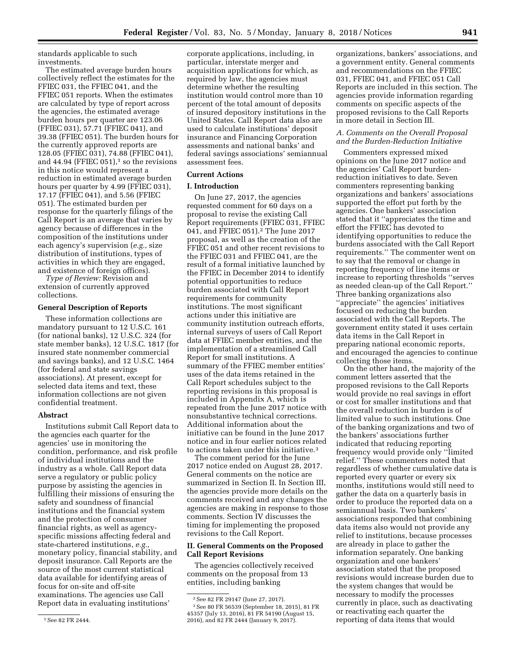standards applicable to such investments.

The estimated average burden hours collectively reflect the estimates for the FFIEC 031, the FFIEC 041, and the FFIEC 051 reports. When the estimates are calculated by type of report across the agencies, the estimated average burden hours per quarter are 123.06 (FFIEC 031), 57.71 (FFIEC 041), and 39.38 (FFIEC 051). The burden hours for the currently approved reports are 128.05 (FFIEC 031), 74.88 (FFIEC 041), and 44.94 (FFIEC  $051$ ),<sup>1</sup> so the revisions in this notice would represent a reduction in estimated average burden hours per quarter by 4.99 (FFIEC 031), 17.17 (FFIEC 041), and 5.56 (FFIEC 051). The estimated burden per response for the quarterly filings of the Call Report is an average that varies by agency because of differences in the composition of the institutions under each agency's supervision (*e.g.,* size distribution of institutions, types of activities in which they are engaged, and existence of foreign offices).

*Type of Review:* Revision and extension of currently approved collections.

#### **General Description of Reports**

These information collections are mandatory pursuant to 12 U.S.C. 161 (for national banks), 12 U.S.C. 324 (for state member banks), 12 U.S.C. 1817 (for insured state nonmember commercial and savings banks), and 12 U.S.C. 1464 (for federal and state savings associations). At present, except for selected data items and text, these information collections are not given confidential treatment.

#### **Abstract**

Institutions submit Call Report data to the agencies each quarter for the agencies' use in monitoring the condition, performance, and risk profile of individual institutions and the industry as a whole. Call Report data serve a regulatory or public policy purpose by assisting the agencies in fulfilling their missions of ensuring the safety and soundness of financial institutions and the financial system and the protection of consumer financial rights, as well as agencyspecific missions affecting federal and state-chartered institutions, *e.g.,*  monetary policy, financial stability, and deposit insurance. Call Reports are the source of the most current statistical data available for identifying areas of focus for on-site and off-site examinations. The agencies use Call Report data in evaluating institutions'

corporate applications, including, in particular, interstate merger and acquisition applications for which, as required by law, the agencies must determine whether the resulting institution would control more than 10 percent of the total amount of deposits of insured depository institutions in the United States. Call Report data also are used to calculate institutions' deposit insurance and Financing Corporation assessments and national banks' and federal savings associations' semiannual assessment fees.

### **Current Actions**

### **I. Introduction**

On June 27, 2017, the agencies requested comment for 60 days on a proposal to revise the existing Call Report requirements (FFIEC 031, FFIEC 041, and FFIEC 051).2 The June 2017 proposal, as well as the creation of the FFIEC 051 and other recent revisions to the FFIEC 031 and FFIEC 041, are the result of a formal initiative launched by the FFIEC in December 2014 to identify potential opportunities to reduce burden associated with Call Report requirements for community institutions. The most significant actions under this initiative are community institution outreach efforts, internal surveys of users of Call Report data at FFIEC member entities, and the implementation of a streamlined Call Report for small institutions. A summary of the FFIEC member entities' uses of the data items retained in the Call Report schedules subject to the reporting revisions in this proposal is included in Appendix A, which is repeated from the June 2017 notice with nonsubstantive technical corrections. Additional information about the initiative can be found in the June 2017 notice and in four earlier notices related to actions taken under this initiative.<sup>3</sup>

The comment period for the June 2017 notice ended on August 28, 2017. General comments on the notice are summarized in Section II. In Section III, the agencies provide more details on the comments received and any changes the agencies are making in response to those comments. Section IV discusses the timing for implementing the proposed revisions to the Call Report.

### **II. General Comments on the Proposed Call Report Revisions**

The agencies collectively received comments on the proposal from 13 entities, including banking

organizations, bankers' associations, and a government entity. General comments and recommendations on the FFIEC 031, FFIEC 041, and FFIEC 051 Call Reports are included in this section. The agencies provide information regarding comments on specific aspects of the proposed revisions to the Call Reports in more detail in Section III.

### *A. Comments on the Overall Proposal and the Burden-Reduction Initiative*

Commenters expressed mixed opinions on the June 2017 notice and the agencies' Call Report burdenreduction initiatives to date. Seven commenters representing banking organizations and bankers' associations supported the effort put forth by the agencies. One bankers' association stated that it ''appreciates the time and effort the FFIEC has devoted to identifying opportunities to reduce the burdens associated with the Call Report requirements.'' The commenter went on to say that the removal or change in reporting frequency of line items or increase to reporting thresholds ''serves as needed clean-up of the Call Report.'' Three banking organizations also ''appreciate'' the agencies' initiatives focused on reducing the burden associated with the Call Reports. The government entity stated it uses certain data items in the Call Report in preparing national economic reports, and encouraged the agencies to continue collecting those items.

On the other hand, the majority of the comment letters asserted that the proposed revisions to the Call Reports would provide no real savings in effort or cost for smaller institutions and that the overall reduction in burden is of limited value to such institutions. One of the banking organizations and two of the bankers' associations further indicated that reducing reporting frequency would provide only ''limited relief.'' These commenters noted that regardless of whether cumulative data is reported every quarter or every six months, institutions would still need to gather the data on a quarterly basis in order to produce the reported data on a semiannual basis. Two bankers' associations responded that combining data items also would not provide any relief to institutions, because processes are already in place to gather the information separately. One banking organization and one bankers' association stated that the proposed revisions would increase burden due to the system changes that would be necessary to modify the processes currently in place, such as deactivating or reactivating each quarter the reporting of data items that would

<sup>1</sup>See 82 FR 2444.

<sup>2</sup>See 82 FR 29147 (June 27, 2017). 3See 80 FR 56539 (September 18, 2015), 81 FR 45357 (July 13, 2016), 81 FR 54190 (August 15, 2016), and 82 FR 2444 (January 9, 2017).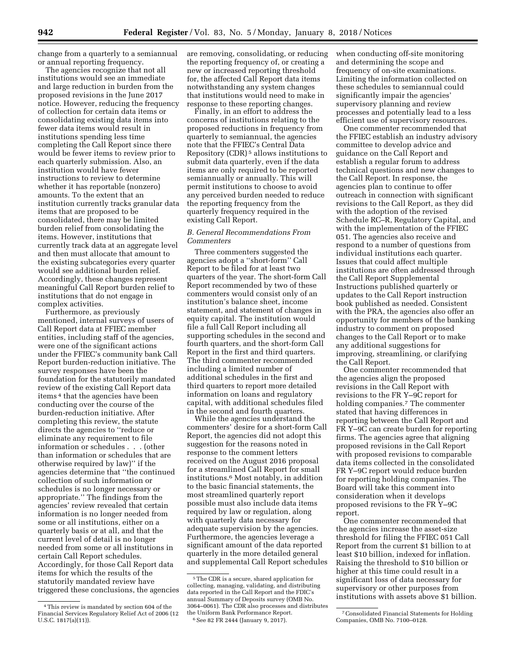change from a quarterly to a semiannual or annual reporting frequency.

The agencies recognize that not all institutions would see an immediate and large reduction in burden from the proposed revisions in the June 2017 notice. However, reducing the frequency of collection for certain data items or consolidating existing data items into fewer data items would result in institutions spending less time completing the Call Report since there would be fewer items to review prior to each quarterly submission. Also, an institution would have fewer instructions to review to determine whether it has reportable (nonzero) amounts. To the extent that an institution currently tracks granular data items that are proposed to be consolidated, there may be limited burden relief from consolidating the items. However, institutions that currently track data at an aggregate level and then must allocate that amount to the existing subcategories every quarter would see additional burden relief. Accordingly, these changes represent meaningful Call Report burden relief to institutions that do not engage in complex activities.

Furthermore, as previously mentioned, internal surveys of users of Call Report data at FFIEC member entities, including staff of the agencies, were one of the significant actions under the FFIEC's community bank Call Report burden-reduction initiative. The survey responses have been the foundation for the statutorily mandated review of the existing Call Report data items 4 that the agencies have been conducting over the course of the burden-reduction initiative. After completing this review, the statute directs the agencies to ''reduce or eliminate any requirement to file information or schedules . . . (other than information or schedules that are otherwise required by law)'' if the agencies determine that ''the continued collection of such information or schedules is no longer necessary or appropriate.'' The findings from the agencies' review revealed that certain information is no longer needed from some or all institutions, either on a quarterly basis or at all, and that the current level of detail is no longer needed from some or all institutions in certain Call Report schedules. Accordingly, for those Call Report data items for which the results of the statutorily mandated review have triggered these conclusions, the agencies are removing, consolidating, or reducing the reporting frequency of, or creating a new or increased reporting threshold for, the affected Call Report data items notwithstanding any system changes that institutions would need to make in response to these reporting changes.

Finally, in an effort to address the concerns of institutions relating to the proposed reductions in frequency from quarterly to semiannual, the agencies note that the FFIEC's Central Data Repository (CDR) 5 allows institutions to submit data quarterly, even if the data items are only required to be reported semiannually or annually. This will permit institutions to choose to avoid any perceived burden needed to reduce the reporting frequency from the quarterly frequency required in the existing Call Report.

### *B. General Recommendations From Commenters*

Three commenters suggested the agencies adopt a ''short-form'' Call Report to be filed for at least two quarters of the year. The short-form Call Report recommended by two of these commenters would consist only of an institution's balance sheet, income statement, and statement of changes in equity capital. The institution would file a full Call Report including all supporting schedules in the second and fourth quarters, and the short-form Call Report in the first and third quarters. The third commenter recommended including a limited number of additional schedules in the first and third quarters to report more detailed information on loans and regulatory capital, with additional schedules filed in the second and fourth quarters.

While the agencies understand the commenters' desire for a short-form Call Report, the agencies did not adopt this suggestion for the reasons noted in response to the comment letters received on the August 2016 proposal for a streamlined Call Report for small institutions.6 Most notably, in addition to the basic financial statements, the most streamlined quarterly report possible must also include data items required by law or regulation, along with quarterly data necessary for adequate supervision by the agencies. Furthermore, the agencies leverage a significant amount of the data reported quarterly in the more detailed general and supplemental Call Report schedules when conducting off-site monitoring and determining the scope and frequency of on-site examinations. Limiting the information collected on these schedules to semiannual could significantly impair the agencies' supervisory planning and review processes and potentially lead to a less efficient use of supervisory resources.

One commenter recommended that the FFIEC establish an industry advisory committee to develop advice and guidance on the Call Report and establish a regular forum to address technical questions and new changes to the Call Report. In response, the agencies plan to continue to offer outreach in connection with significant revisions to the Call Report, as they did with the adoption of the revised Schedule RC–R, Regulatory Capital, and with the implementation of the FFIEC 051. The agencies also receive and respond to a number of questions from individual institutions each quarter. Issues that could affect multiple institutions are often addressed through the Call Report Supplemental Instructions published quarterly or updates to the Call Report instruction book published as needed. Consistent with the PRA, the agencies also offer an opportunity for members of the banking industry to comment on proposed changes to the Call Report or to make any additional suggestions for improving, streamlining, or clarifying the Call Report.

One commenter recommended that the agencies align the proposed revisions in the Call Report with revisions to the FR Y–9C report for holding companies.7 The commenter stated that having differences in reporting between the Call Report and FR Y–9C can create burden for reporting firms. The agencies agree that aligning proposed revisions in the Call Report with proposed revisions to comparable data items collected in the consolidated FR Y–9C report would reduce burden for reporting holding companies. The Board will take this comment into consideration when it develops proposed revisions to the FR Y–9C report.

One commenter recommended that the agencies increase the asset-size threshold for filing the FFIEC 051 Call Report from the current \$1 billion to at least \$10 billion, indexed for inflation. Raising the threshold to \$10 billion or higher at this time could result in a significant loss of data necessary for supervisory or other purposes from institutions with assets above \$1 billion.

<sup>4</sup>This review is mandated by section 604 of the Financial Services Regulatory Relief Act of 2006 (12 U.S.C. 1817(a)(11)).

<sup>5</sup>The CDR is a secure, shared application for collecting, managing, validating, and distributing data reported in the Call Report and the FDIC's annual Summary of Deposits survey (OMB No. 3064–0061). The CDR also processes and distributes the Uniform Bank Performance Report. 6See 82 FR 2444 (January 9, 2017).

<sup>7</sup>Consolidated Financial Statements for Holding Companies, OMB No. 7100–0128.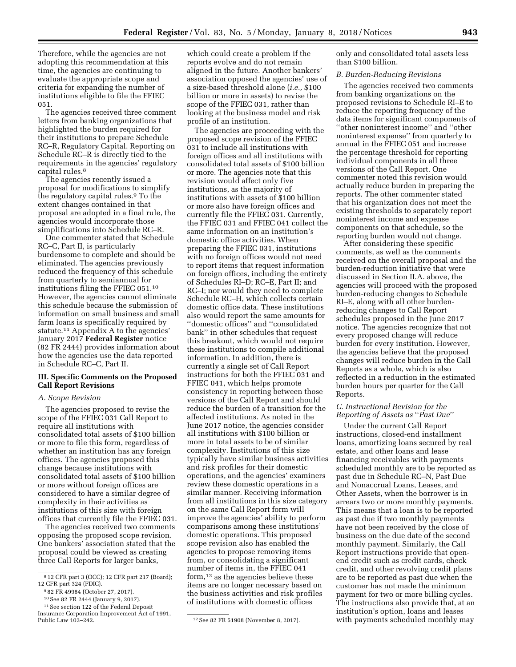Therefore, while the agencies are not adopting this recommendation at this time, the agencies are continuing to evaluate the appropriate scope and criteria for expanding the number of institutions eligible to file the FFIEC 051.

The agencies received three comment letters from banking organizations that highlighted the burden required for their institutions to prepare Schedule RC–R, Regulatory Capital. Reporting on Schedule RC–R is directly tied to the requirements in the agencies' regulatory capital rules.8

The agencies recently issued a proposal for modifications to simplify the regulatory capital rules.9 To the extent changes contained in that proposal are adopted in a final rule, the agencies would incorporate those simplifications into Schedule RC–R.

One commenter stated that Schedule RC–C, Part II, is particularly burdensome to complete and should be eliminated. The agencies previously reduced the frequency of this schedule from quarterly to semiannual for institutions filing the FFIEC 051.10 However, the agencies cannot eliminate this schedule because the submission of information on small business and small farm loans is specifically required by statute.11 Appendix A to the agencies' January 2017 **Federal Register** notice (82 FR 2444) provides information about how the agencies use the data reported in Schedule RC–C, Part II.

#### **III. Specific Comments on the Proposed Call Report Revisions**

#### *A. Scope Revision*

The agencies proposed to revise the scope of the FFIEC 031 Call Report to require all institutions with consolidated total assets of \$100 billion or more to file this form, regardless of whether an institution has any foreign offices. The agencies proposed this change because institutions with consolidated total assets of \$100 billion or more without foreign offices are considered to have a similar degree of complexity in their activities as institutions of this size with foreign offices that currently file the FFIEC 031.

The agencies received two comments opposing the proposed scope revision. One bankers' association stated that the proposal could be viewed as creating three Call Reports for larger banks,

which could create a problem if the reports evolve and do not remain aligned in the future. Another bankers' association opposed the agencies' use of a size-based threshold alone (*i.e.,* \$100 billion or more in assets) to revise the scope of the FFIEC 031, rather than looking at the business model and risk profile of an institution.

The agencies are proceeding with the proposed scope revision of the FFIEC 031 to include all institutions with foreign offices and all institutions with consolidated total assets of \$100 billion or more. The agencies note that this revision would affect only five institutions, as the majority of institutions with assets of \$100 billion or more also have foreign offices and currently file the FFIEC 031. Currently, the FFIEC 031 and FFIEC 041 collect the same information on an institution's domestic office activities. When preparing the FFIEC 031, institutions with no foreign offices would not need to report items that request information on foreign offices, including the entirety of Schedules RI–D; RC–E, Part II; and RC–I; nor would they need to complete Schedule RC–H, which collects certain domestic office data. These institutions also would report the same amounts for ''domestic offices'' and ''consolidated bank'' in other schedules that request this breakout, which would not require these institutions to compile additional information. In addition, there is currently a single set of Call Report instructions for both the FFIEC 031 and FFIEC 041, which helps promote consistency in reporting between those versions of the Call Report and should reduce the burden of a transition for the affected institutions. As noted in the June 2017 notice, the agencies consider all institutions with \$100 billion or more in total assets to be of similar complexity. Institutions of this size typically have similar business activities and risk profiles for their domestic operations, and the agencies' examiners review these domestic operations in a similar manner. Receiving information from all institutions in this size category on the same Call Report form will improve the agencies' ability to perform comparisons among these institutions' domestic operations. This proposed scope revision also has enabled the agencies to propose removing items from, or consolidating a significant number of items in, the FFIEC 041 form,12 as the agencies believe these items are no longer necessary based on the business activities and risk profiles of institutions with domestic offices

only and consolidated total assets less than \$100 billion.

#### *B. Burden-Reducing Revisions*

The agencies received two comments from banking organizations on the proposed revisions to Schedule RI–E to reduce the reporting frequency of the data items for significant components of ''other noninterest income'' and ''other noninterest expense'' from quarterly to annual in the FFIEC 051 and increase the percentage threshold for reporting individual components in all three versions of the Call Report. One commenter noted this revision would actually reduce burden in preparing the reports. The other commenter stated that his organization does not meet the existing thresholds to separately report noninterest income and expense components on that schedule, so the reporting burden would not change.

After considering these specific comments, as well as the comments received on the overall proposal and the burden-reduction initiative that were discussed in Section II.A. above, the agencies will proceed with the proposed burden-reducing changes to Schedule RI–E, along with all other burdenreducing changes to Call Report schedules proposed in the June 2017 notice. The agencies recognize that not every proposed change will reduce burden for every institution. However, the agencies believe that the proposed changes will reduce burden in the Call Reports as a whole, which is also reflected in a reduction in the estimated burden hours per quarter for the Call Reports.

### *C. Instructional Revision for the Reporting of Assets as* ''*Past Due*''

Under the current Call Report instructions, closed-end installment loans, amortizing loans secured by real estate, and other loans and lease financing receivables with payments scheduled monthly are to be reported as past due in Schedule RC–N, Past Due and Nonaccrual Loans, Leases, and Other Assets, when the borrower is in arrears two or more monthly payments. This means that a loan is to be reported as past due if two monthly payments have not been received by the close of business on the due date of the second monthly payment. Similarly, the Call Report instructions provide that openend credit such as credit cards, check credit, and other revolving credit plans are to be reported as past due when the customer has not made the minimum payment for two or more billing cycles. The instructions also provide that, at an institution's option, loans and leases with payments scheduled monthly may

<sup>8</sup> 12 CFR part 3 (OCC); 12 CFR part 217 (Board); 12 CFR part 324 (FDIC).

<sup>9</sup> 82 FR 49984 (October 27, 2017).

<sup>10</sup>See 82 FR 2444 (January 9, 2017).

<sup>11</sup>See section 122 of the Federal Deposit

Insurance Corporation Improvement Act of 1991,

<sup>12</sup> See 82 FR 51908 (November 8, 2017).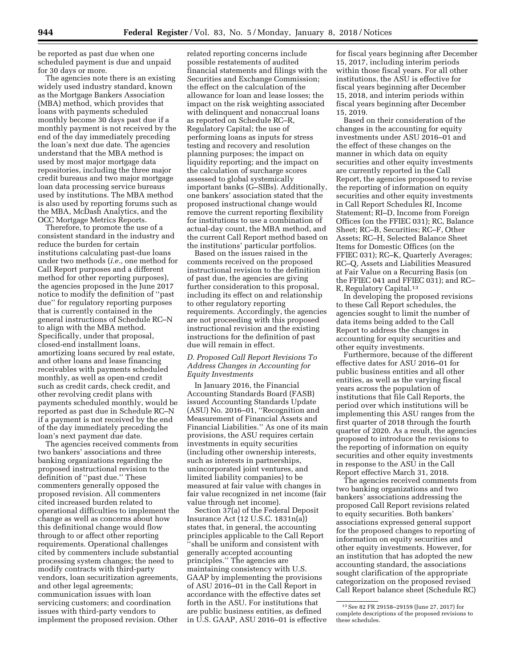be reported as past due when one scheduled payment is due and unpaid for 30 days or more.

The agencies note there is an existing widely used industry standard, known as the Mortgage Bankers Association (MBA) method, which provides that loans with payments scheduled monthly become 30 days past due if a monthly payment is not received by the end of the day immediately preceding the loan's next due date. The agencies understand that the MBA method is used by most major mortgage data repositories, including the three major credit bureaus and two major mortgage loan data processing service bureaus used by institutions. The MBA method is also used by reporting forums such as the MBA, McDash Analytics, and the OCC Mortgage Metrics Reports.

Therefore, to promote the use of a consistent standard in the industry and reduce the burden for certain institutions calculating past-due loans under two methods (*i.e.,* one method for Call Report purposes and a different method for other reporting purposes), the agencies proposed in the June 2017 notice to modify the definition of ''past due'' for regulatory reporting purposes that is currently contained in the general instructions of Schedule RC–N to align with the MBA method. Specifically, under that proposal, closed-end installment loans, amortizing loans secured by real estate, and other loans and lease financing receivables with payments scheduled monthly, as well as open-end credit such as credit cards, check credit, and other revolving credit plans with payments scheduled monthly, would be reported as past due in Schedule RC–N if a payment is not received by the end of the day immediately preceding the loan's next payment due date.

The agencies received comments from two bankers' associations and three banking organizations regarding the proposed instructional revision to the definition of ''past due.'' These commenters generally opposed the proposed revision. All commenters cited increased burden related to operational difficulties to implement the change as well as concerns about how this definitional change would flow through to or affect other reporting requirements. Operational challenges cited by commenters include substantial processing system changes; the need to modify contracts with third-party vendors, loan securitization agreements, and other legal agreements; communication issues with loan servicing customers; and coordination issues with third-party vendors to implement the proposed revision. Other

related reporting concerns include possible restatements of audited financial statements and filings with the Securities and Exchange Commission; the effect on the calculation of the allowance for loan and lease losses; the impact on the risk weighting associated with delinquent and nonaccrual loans as reported on Schedule RC–R, Regulatory Capital; the use of performing loans as inputs for stress testing and recovery and resolution planning purposes; the impact on liquidity reporting; and the impact on the calculation of surcharge scores assessed to global systemically important banks (G–SIBs). Additionally, one bankers' association stated that the proposed instructional change would remove the current reporting flexibility for institutions to use a combination of actual-day count, the MBA method, and the current Call Report method based on the institutions' particular portfolios.

Based on the issues raised in the comments received on the proposed instructional revision to the definition of past due, the agencies are giving further consideration to this proposal, including its effect on and relationship to other regulatory reporting requirements. Accordingly, the agencies are not proceeding with this proposed instructional revision and the existing instructions for the definition of past due will remain in effect.

### *D. Proposed Call Report Revisions To Address Changes in Accounting for Equity Investments*

In January 2016, the Financial Accounting Standards Board (FASB) issued Accounting Standards Update (ASU) No. 2016–01, ''Recognition and Measurement of Financial Assets and Financial Liabilities.'' As one of its main provisions, the ASU requires certain investments in equity securities (including other ownership interests, such as interests in partnerships, unincorporated joint ventures, and limited liability companies) to be measured at fair value with changes in fair value recognized in net income (fair value through net income).

Section 37(a) of the Federal Deposit Insurance Act (12 U.S.C. 1831n(a)) states that, in general, the accounting principles applicable to the Call Report ''shall be uniform and consistent with generally accepted accounting principles.'' The agencies are maintaining consistency with U.S. GAAP by implementing the provisions of ASU 2016–01 in the Call Report in accordance with the effective dates set forth in the ASU. For institutions that are public business entities, as defined in U.S. GAAP, ASU 2016–01 is effective

for fiscal years beginning after December 15, 2017, including interim periods within those fiscal years. For all other institutions, the ASU is effective for fiscal years beginning after December 15, 2018, and interim periods within fiscal years beginning after December 15, 2019.

Based on their consideration of the changes in the accounting for equity investments under ASU 2016–01 and the effect of these changes on the manner in which data on equity securities and other equity investments are currently reported in the Call Report, the agencies proposed to revise the reporting of information on equity securities and other equity investments in Call Report Schedules RI, Income Statement; RI–D, Income from Foreign Offices (on the FFIEC 031); RC, Balance Sheet; RC–B, Securities; RC–F, Other Assets; RC–H, Selected Balance Sheet Items for Domestic Offices (on the FFIEC 031); RC–K, Quarterly Averages; RC–Q, Assets and Liabilities Measured at Fair Value on a Recurring Basis (on the FFIEC 041 and FFIEC 031); and RC– R, Regulatory Capital.13

In developing the proposed revisions to these Call Report schedules, the agencies sought to limit the number of data items being added to the Call Report to address the changes in accounting for equity securities and other equity investments.

Furthermore, because of the different effective dates for ASU 2016–01 for public business entities and all other entities, as well as the varying fiscal years across the population of institutions that file Call Reports, the period over which institutions will be implementing this ASU ranges from the first quarter of 2018 through the fourth quarter of 2020. As a result, the agencies proposed to introduce the revisions to the reporting of information on equity securities and other equity investments in response to the ASU in the Call Report effective March 31, 2018.

The agencies received comments from two banking organizations and two bankers' associations addressing the proposed Call Report revisions related to equity securities. Both bankers' associations expressed general support for the proposed changes to reporting of information on equity securities and other equity investments. However, for an institution that has adopted the new accounting standard, the associations sought clarification of the appropriate categorization on the proposed revised Call Report balance sheet (Schedule RC)

<sup>13</sup>See 82 FR 29158–29159 (June 27, 2017) for complete descriptions of the proposed revisions to these schedules.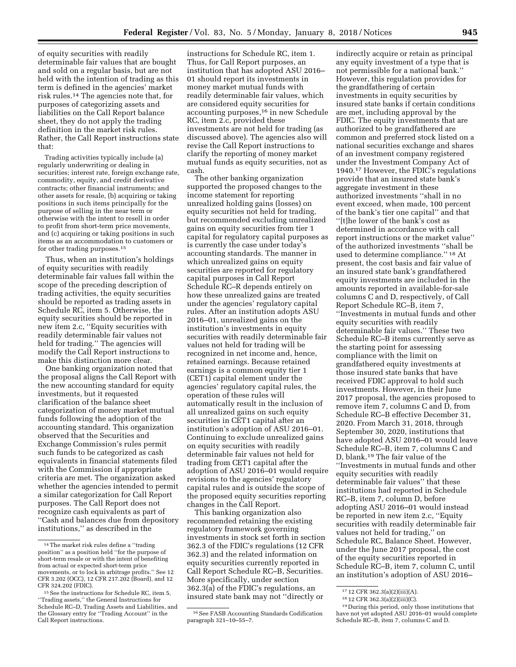of equity securities with readily determinable fair values that are bought and sold on a regular basis, but are not held with the intention of trading as this term is defined in the agencies' market risk rules.14 The agencies note that, for purposes of categorizing assets and liabilities on the Call Report balance sheet, they do not apply the trading definition in the market risk rules. Rather, the Call Report instructions state that:

Trading activities typically include (a) regularly underwriting or dealing in securities; interest rate, foreign exchange rate, commodity, equity, and credit derivative contracts; other financial instruments; and other assets for resale, (b) acquiring or taking positions in such items principally for the purpose of selling in the near term or otherwise with the intent to resell in order to profit from short-term price movements, and (c) acquiring or taking positions in such items as an accommodation to customers or for other trading purposes.15

Thus, when an institution's holdings of equity securities with readily determinable fair values fall within the scope of the preceding description of trading activities, the equity securities should be reported as trading assets in Schedule RC, item 5. Otherwise, the equity securities should be reported in new item 2.c, ''Equity securities with readily determinable fair values not held for trading.'' The agencies will modify the Call Report instructions to make this distinction more clear.

One banking organization noted that the proposal aligns the Call Report with the new accounting standard for equity investments, but it requested clarification of the balance sheet categorization of money market mutual funds following the adoption of the accounting standard. This organization observed that the Securities and Exchange Commission's rules permit such funds to be categorized as cash equivalents in financial statements filed with the Commission if appropriate criteria are met. The organization asked whether the agencies intended to permit a similar categorization for Call Report purposes. The Call Report does not recognize cash equivalents as part of ''Cash and balances due from depository institutions,'' as described in the

instructions for Schedule RC, item 1. Thus, for Call Report purposes, an institution that has adopted ASU 2016– 01 should report its investments in money market mutual funds with readily determinable fair values, which are considered equity securities for accounting purposes,16 in new Schedule RC, item 2.c, provided these investments are not held for trading (as discussed above). The agencies also will revise the Call Report instructions to clarify the reporting of money market mutual funds as equity securities, not as cash.

The other banking organization supported the proposed changes to the income statement for reporting unrealized holding gains (losses) on equity securities not held for trading, but recommended excluding unrealized gains on equity securities from tier 1 capital for regulatory capital purposes as is currently the case under today's accounting standards. The manner in which unrealized gains on equity securities are reported for regulatory capital purposes in Call Report Schedule RC–R depends entirely on how these unrealized gains are treated under the agencies' regulatory capital rules. After an institution adopts ASU 2016–01, unrealized gains on the institution's investments in equity securities with readily determinable fair values not held for trading will be recognized in net income and, hence, retained earnings. Because retained earnings is a common equity tier 1 (CET1) capital element under the agencies' regulatory capital rules, the operation of these rules will automatically result in the inclusion of all unrealized gains on such equity securities in CET1 capital after an institution's adoption of ASU 2016–01. Continuing to exclude unrealized gains on equity securities with readily determinable fair values not held for trading from CET1 capital after the adoption of ASU 2016–01 would require revisions to the agencies' regulatory capital rules and is outside the scope of the proposed equity securities reporting changes in the Call Report.

This banking organization also recommended retaining the existing regulatory framework governing investments in stock set forth in section 362.3 of the FDIC's regulations (12 CFR 362.3) and the related information on equity securities currently reported in Call Report Schedule RC–B, Securities. More specifically, under section 362.3(a) of the FDIC's regulations, an insured state bank may not ''directly or

indirectly acquire or retain as principal any equity investment of a type that is not permissible for a national bank.'' However, this regulation provides for the grandfathering of certain investments in equity securities by insured state banks if certain conditions are met, including approval by the FDIC. The equity investments that are authorized to be grandfathered are common and preferred stock listed on a national securities exchange and shares of an investment company registered under the Investment Company Act of 1940.17 However, the FDIC's regulations provide that an insured state bank's aggregate investment in these authorized investments ''shall in no event exceed, when made, 100 percent of the bank's tier one capital'' and that ''[t]he lower of the bank's cost as determined in accordance with call report instructions or the market value'' of the authorized investments ''shall be used to determine compliance.'' 18 At present, the cost basis and fair value of an insured state bank's grandfathered equity investments are included in the amounts reported in available-for-sale columns C and D, respectively, of Call Report Schedule RC–B, item 7, ''Investments in mutual funds and other equity securities with readily determinable fair values.'' These two Schedule RC–B items currently serve as the starting point for assessing compliance with the limit on grandfathered equity investments at those insured state banks that have received FDIC approval to hold such investments. However, in their June 2017 proposal, the agencies proposed to remove item 7, columns C and D, from Schedule RC–B effective December 31, 2020. From March 31, 2018, through September 30, 2020, institutions that have adopted ASU 2016–01 would leave Schedule RC–B, item 7, columns C and D, blank.19 The fair value of the ''Investments in mutual funds and other equity securities with readily determinable fair values'' that these institutions had reported in Schedule RC–B, item 7, column D, before adopting ASU 2016–01 would instead be reported in new item 2.c, ''Equity securities with readily determinable fair values not held for trading,'' on Schedule RC, Balance Sheet. However, under the June 2017 proposal, the cost of the equity securities reported in Schedule RC–B, item 7, column C, until an institution's adoption of ASU 2016–

<sup>14</sup>The market risk rules define a ''trading position'' as a position held ''for the purpose of short-term resale or with the intent of benefiting from actual or expected short-term price movements, or to lock in arbitrage profits.'' See 12 CFR 3.202 (OCC), 12 CFR 217.202 (Board), and 12 CFR 324.202 (FDIC).

<sup>15</sup>See the instructions for Schedule RC, item 5, ''Trading assets,'' the General Instructions for Schedule RC–D, Trading Assets and Liabilities, and the Glossary entry for ''Trading Account'' in the Call Report instructions.

<sup>16</sup>See FASB Accounting Standards Codification paragraph 321–10–55–7.

<sup>17</sup> 12 CFR 362.3(a)(2)(iii)(A).

<sup>18</sup> 12 CFR 362.3(a)(2)(iii)(C).

<sup>19</sup> During this period, only those institutions that have not yet adopted ASU 2016–01 would complete Schedule RC–B, item 7, columns C and D.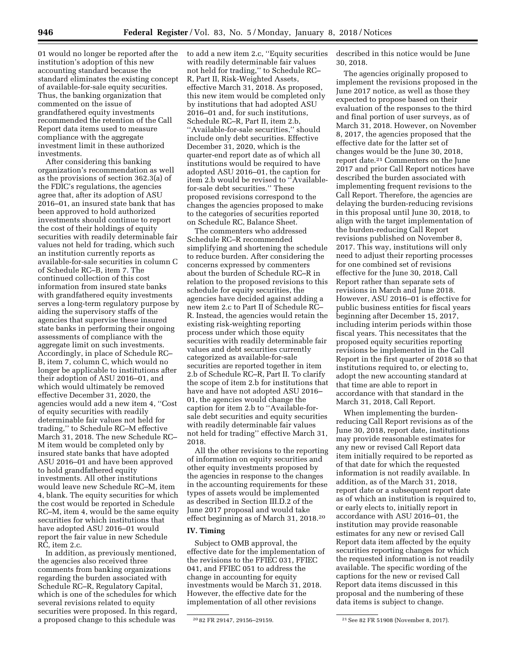01 would no longer be reported after the institution's adoption of this new accounting standard because the standard eliminates the existing concept of available-for-sale equity securities. Thus, the banking organization that commented on the issue of grandfathered equity investments recommended the retention of the Call Report data items used to measure compliance with the aggregate investment limit in these authorized investments.

After considering this banking organization's recommendation as well as the provisions of section 362.3(a) of the FDIC's regulations, the agencies agree that, after its adoption of ASU 2016–01, an insured state bank that has been approved to hold authorized investments should continue to report the cost of their holdings of equity securities with readily determinable fair values not held for trading, which such an institution currently reports as available-for-sale securities in column C of Schedule RC–B, item 7. The continued collection of this cost information from insured state banks with grandfathered equity investments serves a long-term regulatory purpose by aiding the supervisory staffs of the agencies that supervise these insured state banks in performing their ongoing assessments of compliance with the aggregate limit on such investments. Accordingly, in place of Schedule RC– B, item 7, column C, which would no longer be applicable to institutions after their adoption of ASU 2016–01, and which would ultimately be removed effective December 31, 2020, the agencies would add a new item 4, ''Cost of equity securities with readily determinable fair values not held for trading,'' to Schedule RC–M effective March 31, 2018. The new Schedule RC– M item would be completed only by insured state banks that have adopted ASU 2016–01 and have been approved to hold grandfathered equity investments. All other institutions would leave new Schedule RC–M, item 4, blank. The equity securities for which the cost would be reported in Schedule RC–M, item 4, would be the same equity securities for which institutions that have adopted ASU 2016–01 would report the fair value in new Schedule RC, item 2.c.

In addition, as previously mentioned, the agencies also received three comments from banking organizations regarding the burden associated with Schedule RC–R, Regulatory Capital, which is one of the schedules for which several revisions related to equity securities were proposed. In this regard, a proposed change to this schedule was

to add a new item 2.c, ''Equity securities with readily determinable fair values not held for trading,'' to Schedule RC– R, Part II, Risk-Weighted Assets, effective March 31, 2018. As proposed, this new item would be completed only by institutions that had adopted ASU 2016–01 and, for such institutions, Schedule RC–R, Part II, item 2.b, ''Available-for-sale securities,'' should include only debt securities. Effective December 31, 2020, which is the quarter-end report date as of which all institutions would be required to have adopted ASU 2016–01, the caption for item 2.b would be revised to ''Availablefor-sale debt securities.'' These proposed revisions correspond to the changes the agencies proposed to make to the categories of securities reported on Schedule RC, Balance Sheet.

The commenters who addressed Schedule RC–R recommended simplifying and shortening the schedule to reduce burden. After considering the concerns expressed by commenters about the burden of Schedule RC–R in relation to the proposed revisions to this schedule for equity securities, the agencies have decided against adding a new item 2.c to Part II of Schedule RC– R. Instead, the agencies would retain the existing risk-weighting reporting process under which those equity securities with readily determinable fair values and debt securities currently categorized as available-for-sale securities are reported together in item 2.b of Schedule RC–R, Part II. To clarify the scope of item 2.b for institutions that have and have not adopted ASU 2016– 01, the agencies would change the caption for item 2.b to ''Available-forsale debt securities and equity securities with readily determinable fair values not held for trading'' effective March 31, 2018.

All the other revisions to the reporting of information on equity securities and other equity investments proposed by the agencies in response to the changes in the accounting requirements for these types of assets would be implemented as described in Section III.D.2 of the June 2017 proposal and would take effect beginning as of March 31, 2018.20

### **IV. Timing**

Subject to OMB approval, the effective date for the implementation of the revisions to the FFIEC 031, FFIEC 041, and FFIEC 051 to address the change in accounting for equity investments would be March 31, 2018. However, the effective date for the implementation of all other revisions

described in this notice would be June 30, 2018.

The agencies originally proposed to implement the revisions proposed in the June 2017 notice, as well as those they expected to propose based on their evaluation of the responses to the third and final portion of user surveys, as of March 31, 2018. However, on November 8, 2017, the agencies proposed that the effective date for the latter set of changes would be the June 30, 2018, report date.21 Commenters on the June 2017 and prior Call Report notices have described the burden associated with implementing frequent revisions to the Call Report. Therefore, the agencies are delaying the burden-reducing revisions in this proposal until June 30, 2018, to align with the target implementation of the burden-reducing Call Report revisions published on November 8, 2017. This way, institutions will only need to adjust their reporting processes for one combined set of revisions effective for the June 30, 2018, Call Report rather than separate sets of revisions in March and June 2018. However, ASU 2016–01 is effective for public business entities for fiscal years beginning after December 15, 2017, including interim periods within those fiscal years. This necessitates that the proposed equity securities reporting revisions be implemented in the Call Report in the first quarter of 2018 so that institutions required to, or electing to, adopt the new accounting standard at that time are able to report in accordance with that standard in the March 31, 2018, Call Report.

When implementing the burdenreducing Call Report revisions as of the June 30, 2018, report date, institutions may provide reasonable estimates for any new or revised Call Report data item initially required to be reported as of that date for which the requested information is not readily available. In addition, as of the March 31, 2018, report date or a subsequent report date as of which an institution is required to, or early elects to, initially report in accordance with ASU 2016–01, the institution may provide reasonable estimates for any new or revised Call Report data item affected by the equity securities reporting changes for which the requested information is not readily available. The specific wording of the captions for the new or revised Call Report data items discussed in this proposal and the numbering of these data items is subject to change.

<sup>20</sup> 82 FR 29147, 29156–29159. 21See 82 FR 51908 (November 8, 2017).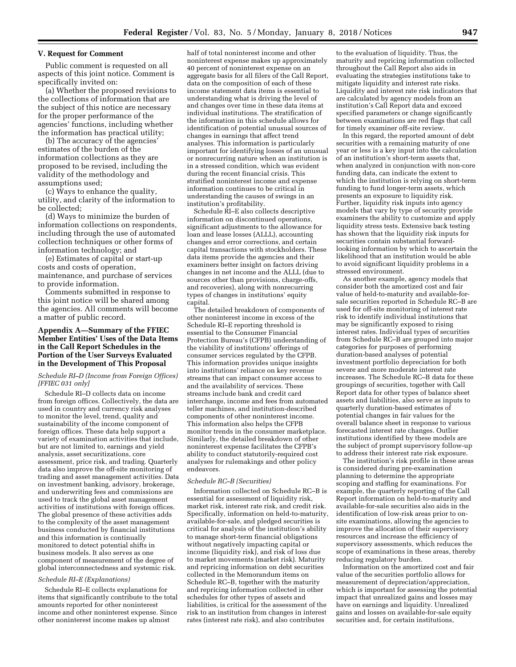#### **V. Request for Comment**

Public comment is requested on all aspects of this joint notice. Comment is specifically invited on:

(a) Whether the proposed revisions to the collections of information that are the subject of this notice are necessary for the proper performance of the agencies' functions, including whether the information has practical utility;

(b) The accuracy of the agencies' estimates of the burden of the information collections as they are proposed to be revised, including the validity of the methodology and assumptions used;

(c) Ways to enhance the quality, utility, and clarity of the information to be collected;

(d) Ways to minimize the burden of information collections on respondents, including through the use of automated collection techniques or other forms of information technology; and

(e) Estimates of capital or start-up costs and costs of operation, maintenance, and purchase of services to provide information.

Comments submitted in response to this joint notice will be shared among the agencies. All comments will become a matter of public record.

### **Appendix A—Summary of the FFIEC Member Entities' Uses of the Data Items in the Call Report Schedules in the Portion of the User Surveys Evaluated in the Development of This Proposal**

#### *Schedule RI–D (Income from Foreign Offices) [FFIEC 031 only]*

Schedule RI–D collects data on income from foreign offices. Collectively, the data are used in country and currency risk analyses to monitor the level, trend, quality and sustainability of the income component of foreign offices. These data help support a variety of examination activities that include, but are not limited to, earnings and yield analysis, asset securitizations, core assessment, price risk, and trading. Quarterly data also improve the off-site monitoring of trading and asset management activities. Data on investment banking, advisory, brokerage, and underwriting fees and commissions are used to track the global asset management activities of institutions with foreign offices. The global presence of these activities adds to the complexity of the asset management business conducted by financial institutions and this information is continually monitored to detect potential shifts in business models. It also serves as one component of measurement of the degree of global interconnectedness and systemic risk.

#### *Schedule RI–E (Explanations)*

Schedule RI–E collects explanations for items that significantly contribute to the total amounts reported for other noninterest income and other noninterest expense. Since other noninterest income makes up almost

half of total noninterest income and other noninterest expense makes up approximately 40 percent of noninterest expense on an aggregate basis for all filers of the Call Report, data on the composition of each of these income statement data items is essential to understanding what is driving the level of and changes over time in these data items at individual institutions. The stratification of the information in this schedule allows for identification of potential unusual sources of changes in earnings that affect trend analyses. This information is particularly important for identifying losses of an unusual or nonrecurring nature when an institution is in a stressed condition, which was evident during the recent financial crisis. This stratified noninterest income and expense information continues to be critical in understanding the causes of swings in an institution's profitability.

Schedule RI–E also collects descriptive information on discontinued operations, significant adjustments to the allowance for loan and lease losses (ALLL), accounting changes and error corrections, and certain capital transactions with stockholders. These data items provide the agencies and their examiners better insight on factors driving changes in net income and the ALLL (due to sources other than provisions, charge-offs, and recoveries), along with nonrecurring types of changes in institutions' equity capital.

The detailed breakdown of components of other noninterest income in excess of the Schedule RI–E reporting threshold is essential to the Consumer Financial Protection Bureau's (CFPB) understanding of the viability of institutions' offerings of consumer services regulated by the CFPB. This information provides unique insights into institutions' reliance on key revenue streams that can impact consumer access to and the availability of services. These streams include bank and credit card interchange, income and fees from automated teller machines, and institution-described components of other noninterest income. This information also helps the CFPB monitor trends in the consumer marketplace. Similarly, the detailed breakdown of other noninterest expense facilitates the CFPB's ability to conduct statutorily-required cost analyses for rulemakings and other policy endeavors.

#### *Schedule RC–B (Securities)*

Information collected on Schedule RC–B is essential for assessment of liquidity risk, market risk, interest rate risk, and credit risk. Specifically, information on held-to-maturity, available-for-sale, and pledged securities is critical for analysis of the institution's ability to manage short-term financial obligations without negatively impacting capital or income (liquidity risk), and risk of loss due to market movements (market risk). Maturity and repricing information on debt securities collected in the Memorandum items on Schedule RC–B, together with the maturity and repricing information collected in other schedules for other types of assets and liabilities, is critical for the assessment of the risk to an institution from changes in interest rates (interest rate risk), and also contributes

to the evaluation of liquidity. Thus, the maturity and repricing information collected throughout the Call Report also aids in evaluating the strategies institutions take to mitigate liquidity and interest rate risks. Liquidity and interest rate risk indicators that are calculated by agency models from an institution's Call Report data and exceed specified parameters or change significantly between examinations are red flags that call for timely examiner off-site review.

In this regard, the reported amount of debt securities with a remaining maturity of one year or less is a key input into the calculation of an institution's short-term assets that, when analyzed in conjunction with non-core funding data, can indicate the extent to which the institution is relying on short-term funding to fund longer-term assets, which presents an exposure to liquidity risk. Further, liquidity risk inputs into agency models that vary by type of security provide examiners the ability to customize and apply liquidity stress tests. Extensive back testing has shown that the liquidity risk inputs for securities contain substantial forwardlooking information by which to ascertain the likelihood that an institution would be able to avoid significant liquidity problems in a stressed environment.

As another example, agency models that consider both the amortized cost and fair value of held-to-maturity and available-forsale securities reported in Schedule RC–B are used for off-site monitoring of interest rate risk to identify individual institutions that may be significantly exposed to rising interest rates. Individual types of securities from Schedule RC–B are grouped into major categories for purposes of performing duration-based analyses of potential investment portfolio depreciation for both severe and more moderate interest rate increases. The Schedule RC–B data for these groupings of securities, together with Call Report data for other types of balance sheet assets and liabilities, also serve as inputs to quarterly duration-based estimates of potential changes in fair values for the overall balance sheet in response to various forecasted interest rate changes. Outlier institutions identified by these models are the subject of prompt supervisory follow-up to address their interest rate risk exposure.

The institution's risk profile in these areas is considered during pre-examination planning to determine the appropriate scoping and staffing for examinations. For example, the quarterly reporting of the Call Report information on held-to-maturity and available-for-sale securities also aids in the identification of low-risk areas prior to onsite examinations, allowing the agencies to improve the allocation of their supervisory resources and increase the efficiency of supervisory assessments, which reduces the scope of examinations in these areas, thereby reducing regulatory burden.

Information on the amortized cost and fair value of the securities portfolio allows for measurement of depreciation/appreciation, which is important for assessing the potential impact that unrealized gains and losses may have on earnings and liquidity. Unrealized gains and losses on available-for-sale equity securities and, for certain institutions,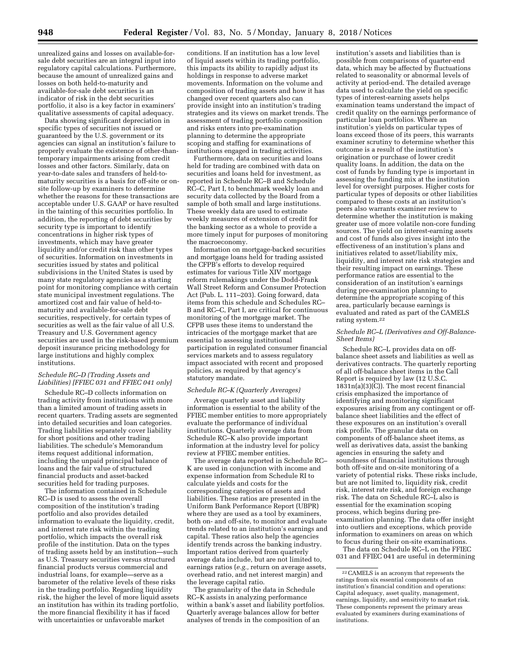unrealized gains and losses on available-forsale debt securities are an integral input into regulatory capital calculations. Furthermore, because the amount of unrealized gains and losses on both held-to-maturity and available-for-sale debt securities is an indicator of risk in the debt securities portfolio, it also is a key factor in examiners' qualitative assessments of capital adequacy.

Data showing significant depreciation in specific types of securities not issued or guaranteed by the U.S. government or its agencies can signal an institution's failure to properly evaluate the existence of other-thantemporary impairments arising from credit losses and other factors. Similarly, data on year-to-date sales and transfers of held-tomaturity securities is a basis for off-site or onsite follow-up by examiners to determine whether the reasons for these transactions are acceptable under U.S. GAAP or have resulted in the tainting of this securities portfolio. In addition, the reporting of debt securities by security type is important to identify concentrations in higher risk types of investments, which may have greater liquidity and/or credit risk than other types of securities. Information on investments in securities issued by states and political subdivisions in the United States is used by many state regulatory agencies as a starting point for monitoring compliance with certain state municipal investment regulations. The amortized cost and fair value of held-tomaturity and available-for-sale debt securities, respectively, for certain types of securities as well as the fair value of all U.S. Treasury and U.S. Government agency securities are used in the risk-based premium deposit insurance pricing methodology for large institutions and highly complex institutions.

#### *Schedule RC–D (Trading Assets and Liabilities) [FFIEC 031 and FFIEC 041 only]*

Schedule RC–D collects information on trading activity from institutions with more than a limited amount of trading assets in recent quarters. Trading assets are segmented into detailed securities and loan categories. Trading liabilities separately cover liability for short positions and other trading liabilities. The schedule's Memorandum items request additional information, including the unpaid principal balance of loans and the fair value of structured financial products and asset-backed securities held for trading purposes.

The information contained in Schedule RC–D is used to assess the overall composition of the institution's trading portfolio and also provides detailed information to evaluate the liquidity, credit, and interest rate risk within the trading portfolio, which impacts the overall risk profile of the institution. Data on the types of trading assets held by an institution—such as U.S. Treasury securities versus structured financial products versus commercial and industrial loans, for example—serve as a barometer of the relative levels of these risks in the trading portfolio. Regarding liquidity risk, the higher the level of more liquid assets an institution has within its trading portfolio, the more financial flexibility it has if faced with uncertainties or unfavorable market

conditions. If an institution has a low level of liquid assets within its trading portfolio, this impacts its ability to rapidly adjust its holdings in response to adverse market movements. Information on the volume and composition of trading assets and how it has changed over recent quarters also can provide insight into an institution's trading strategies and its views on market trends. The assessment of trading portfolio composition and risks enters into pre-examination planning to determine the appropriate scoping and staffing for examinations of institutions engaged in trading activities.

Furthermore, data on securities and loans held for trading are combined with data on securities and loans held for investment, as reported in Schedule RC–B and Schedule RC–C, Part I, to benchmark weekly loan and security data collected by the Board from a sample of both small and large institutions. These weekly data are used to estimate weekly measures of extension of credit for the banking sector as a whole to provide a more timely input for purposes of monitoring the macroeconomy.

Information on mortgage-backed securities and mortgage loans held for trading assisted the CFPB's efforts to develop required estimates for various Title XIV mortgage reform rulemakings under the Dodd-Frank Wall Street Reform and Consumer Protection Act (Pub. L. 111–203). Going forward, data items from this schedule and Schedules RC– B and RC–C, Part I, are critical for continuous monitoring of the mortgage market. The CFPB uses these items to understand the intricacies of the mortgage market that are essential to assessing institutional participation in regulated consumer financial services markets and to assess regulatory impact associated with recent and proposed policies, as required by that agency's statutory mandate.

#### *Schedule RC–K (Quarterly Averages)*

Average quarterly asset and liability information is essential to the ability of the FFIEC member entities to more appropriately evaluate the performance of individual institutions. Quarterly average data from Schedule RC–K also provide important information at the industry level for policy review at FFIEC member entities.

The average data reported in Schedule RC– K are used in conjunction with income and expense information from Schedule RI to calculate yields and costs for the corresponding categories of assets and liabilities. These ratios are presented in the Uniform Bank Performance Report (UBPR) where they are used as a tool by examiners, both on- and off-site, to monitor and evaluate trends related to an institution's earnings and capital. These ratios also help the agencies identify trends across the banking industry. Important ratios derived from quarterly average data include, but are not limited to, earnings ratios (*e.g.,* return on average assets, overhead ratio, and net interest margin) and the leverage capital ratio.

The granularity of the data in Schedule RC–K assists in analyzing performance within a bank's asset and liability portfolios. Quarterly average balances allow for better analyses of trends in the composition of an

institution's assets and liabilities than is possible from comparisons of quarter-end data, which may be affected by fluctuations related to seasonality or abnormal levels of activity at period-end. The detailed average data used to calculate the yield on specific types of interest-earning assets helps examination teams understand the impact of credit quality on the earnings performance of particular loan portfolios. Where an institution's yields on particular types of loans exceed those of its peers, this warrants examiner scrutiny to determine whether this outcome is a result of the institution's origination or purchase of lower credit quality loans. In addition, the data on the cost of funds by funding type is important in assessing the funding mix at the institution level for oversight purposes. Higher costs for particular types of deposits or other liabilities compared to these costs at an institution's peers also warrants examiner review to determine whether the institution is making greater use of more volatile non-core funding sources. The yield on interest-earning assets and cost of funds also gives insight into the effectiveness of an institution's plans and initiatives related to asset/liability mix, liquidity, and interest rate risk strategies and their resulting impact on earnings. These performance ratios are essential to the consideration of an institution's earnings during pre-examination planning to determine the appropriate scoping of this area, particularly because earnings is evaluated and rated as part of the CAMELS rating system.22

#### *Schedule RC–L (Derivatives and Off-Balance-Sheet Items)*

Schedule RC–L provides data on offbalance sheet assets and liabilities as well as derivatives contracts. The quarterly reporting of all off-balance sheet items in the Call Report is required by law (12 U.S.C.  $18\overline{3}1n(a)(3)(C)$ ). The most recent financial crisis emphasized the importance of identifying and monitoring significant exposures arising from any contingent or offbalance sheet liabilities and the effect of these exposures on an institution's overall risk profile. The granular data on components of off-balance sheet items, as well as derivatives data, assist the banking agencies in ensuring the safety and soundness of financial institutions through both off-site and on-site monitoring of a variety of potential risks. These risks include, but are not limited to, liquidity risk, credit risk, interest rate risk, and foreign exchange risk. The data on Schedule RC–L also is essential for the examination scoping process, which begins during preexamination planning. The data offer insight into outliers and exceptions, which provide information to examiners on areas on which to focus during their on-site examinations.

The data on Schedule RC–L on the FFIEC 031 and FFIEC 041 are useful in determining

<sup>22</sup>CAMELS is an acronym that represents the ratings from six essential components of an institution's financial condition and operations: Capital adequacy, asset quality, management, earnings, liquidity, and sensitivity to market risk. These components represent the primary areas evaluated by examiners during examinations of institutions.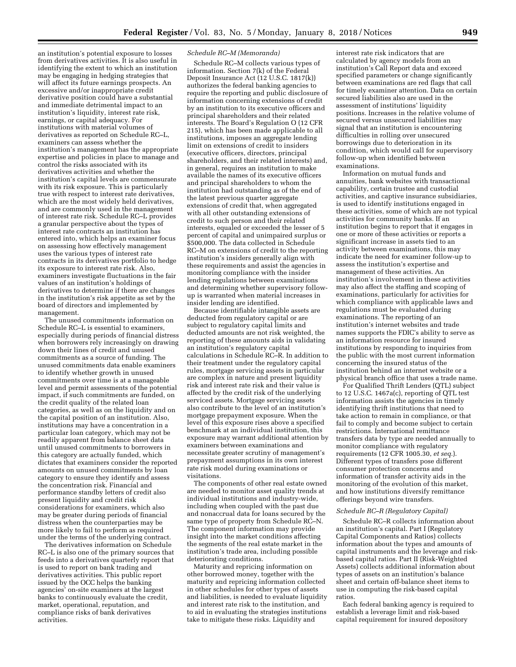an institution's potential exposure to losses from derivatives activities. It is also useful in identifying the extent to which an institution may be engaging in hedging strategies that will affect its future earnings prospects. An excessive and/or inappropriate credit derivative position could have a substantial and immediate detrimental impact to an institution's liquidity, interest rate risk, earnings, or capital adequacy. For institutions with material volumes of derivatives as reported on Schedule RC–L, examiners can assess whether the institution's management has the appropriate expertise and policies in place to manage and control the risks associated with its derivatives activities and whether the institution's capital levels are commensurate with its risk exposure. This is particularly true with respect to interest rate derivatives, which are the most widely held derivatives, and are commonly used in the management of interest rate risk. Schedule RC–L provides a granular perspective about the types of interest rate contracts an institution has entered into, which helps an examiner focus on assessing how effectively management uses the various types of interest rate contracts in its derivatives portfolio to hedge its exposure to interest rate risk. Also, examiners investigate fluctuations in the fair values of an institution's holdings of derivatives to determine if there are changes in the institution's risk appetite as set by the board of directors and implemented by management.

The unused commitments information on Schedule RC–L is essential to examiners, especially during periods of financial distress when borrowers rely increasingly on drawing down their lines of credit and unused commitments as a source of funding. The unused commitments data enable examiners to identify whether growth in unused commitments over time is at a manageable level and permit assessments of the potential impact, if such commitments are funded, on the credit quality of the related loan categories, as well as on the liquidity and on the capital position of an institution. Also, institutions may have a concentration in a particular loan category, which may not be readily apparent from balance sheet data until unused commitments to borrowers in this category are actually funded, which dictates that examiners consider the reported amounts on unused commitments by loan category to ensure they identify and assess the concentration risk. Financial and performance standby letters of credit also present liquidity and credit risk considerations for examiners, which also may be greater during periods of financial distress when the counterparties may be more likely to fail to perform as required under the terms of the underlying contract.

The derivatives information on Schedule RC–L is also one of the primary sources that feeds into a derivatives quarterly report that is used to report on bank trading and derivatives activities. This public report issued by the OCC helps the banking agencies' on-site examiners at the largest banks to continuously evaluate the credit, market, operational, reputation, and compliance risks of bank derivatives activities.

#### *Schedule RC–M (Memoranda)*

Schedule RC–M collects various types of information. Section 7(k) of the Federal Deposit Insurance Act (12 U.S.C. 1817(k)) authorizes the federal banking agencies to require the reporting and public disclosure of information concerning extensions of credit by an institution to its executive officers and principal shareholders and their related interests. The Board's Regulation O (12 CFR 215), which has been made applicable to all institutions, imposes an aggregate lending limit on extensions of credit to insiders (executive officers, directors, principal shareholders, and their related interests) and, in general, requires an institution to make available the names of its executive officers and principal shareholders to whom the institution had outstanding as of the end of the latest previous quarter aggregate extensions of credit that, when aggregated with all other outstanding extensions of credit to such person and their related interests, equaled or exceeded the lesser of 5 percent of capital and unimpaired surplus or \$500,000. The data collected in Schedule RC–M on extensions of credit to the reporting institution's insiders generally align with these requirements and assist the agencies in monitoring compliance with the insider lending regulations between examinations and determining whether supervisory followup is warranted when material increases in insider lending are identified.

Because identifiable intangible assets are deducted from regulatory capital or are subject to regulatory capital limits and deducted amounts are not risk weighted, the reporting of these amounts aids in validating an institution's regulatory capital calculations in Schedule RC–R. In addition to their treatment under the regulatory capital rules, mortgage servicing assets in particular are complex in nature and present liquidity risk and interest rate risk and their value is affected by the credit risk of the underlying serviced assets. Mortgage servicing assets also contribute to the level of an institution's mortgage prepayment exposure. When the level of this exposure rises above a specified benchmark at an individual institution, this exposure may warrant additional attention by examiners between examinations and necessitate greater scrutiny of management's prepayment assumptions in its own interest rate risk model during examinations or visitations.

The components of other real estate owned are needed to monitor asset quality trends at individual institutions and industry-wide, including when coupled with the past due and nonaccrual data for loans secured by the same type of property from Schedule RC-N. The component information may provide insight into the market conditions affecting the segments of the real estate market in the institution's trade area, including possible deteriorating conditions.

Maturity and repricing information on other borrowed money, together with the maturity and repricing information collected in other schedules for other types of assets and liabilities, is needed to evaluate liquidity and interest rate risk to the institution, and to aid in evaluating the strategies institutions take to mitigate these risks. Liquidity and

interest rate risk indicators that are calculated by agency models from an institution's Call Report data and exceed specified parameters or change significantly between examinations are red flags that call for timely examiner attention. Data on certain secured liabilities also are used in the assessment of institutions' liquidity positions. Increases in the relative volume of secured versus unsecured liabilities may signal that an institution is encountering difficulties in rolling over unsecured borrowings due to deterioration in its condition, which would call for supervisory follow-up when identified between examinations.

Information on mutual funds and annuities, bank websites with transactional capability, certain trustee and custodial activities, and captive insurance subsidiaries, is used to identify institutions engaged in these activities, some of which are not typical activities for community banks. If an institution begins to report that it engages in one or more of these activities or reports a significant increase in assets tied to an activity between examinations, this may indicate the need for examiner follow-up to assess the institution's expertise and management of these activities. An institution's involvement in these activities may also affect the staffing and scoping of examinations, particularly for activities for which compliance with applicable laws and regulations must be evaluated during examinations. The reporting of an institution's internet websites and trade names supports the FDIC's ability to serve as an information resource for insured institutions by responding to inquiries from the public with the most current information concerning the insured status of the institution behind an internet website or a physical branch office that uses a trade name.

For Qualified Thrift Lenders (QTL) subject to 12 U.S.C. 1467a(c), reporting of QTL test information assists the agencies in timely identifying thrift institutions that need to take action to remain in compliance, or that fail to comply and become subject to certain restrictions. International remittance transfers data by type are needed annually to monitor compliance with regulatory requirements (12 CFR 1005.30, *et seq.*). Different types of transfers pose different consumer protection concerns and information of transfer activity aids in the monitoring of the evolution of this market, and how institutions diversify remittance offerings beyond wire transfers.

#### *Schedule RC–R (Regulatory Capital)*

Schedule RC–R collects information about an institution's capital. Part I (Regulatory Capital Components and Ratios) collects information about the types and amounts of capital instruments and the leverage and riskbased capital ratios. Part II (Risk-Weighted Assets) collects additional information about types of assets on an institution's balance sheet and certain off-balance sheet items to use in computing the risk-based capital ratios.

Each federal banking agency is required to establish a leverage limit and risk-based capital requirement for insured depository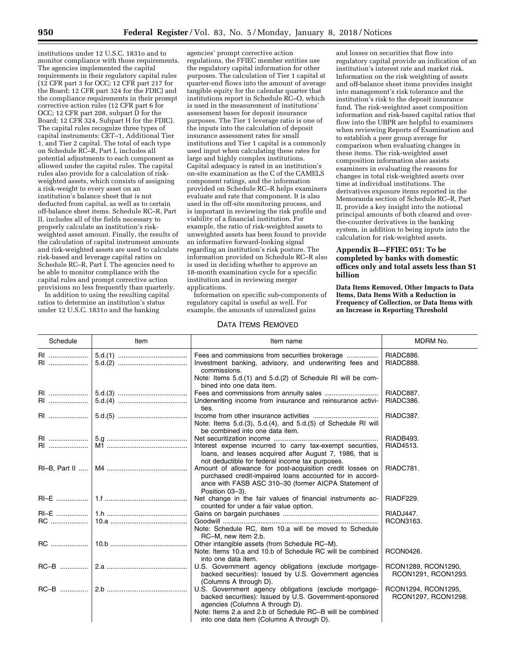institutions under 12 U.S.C. 1831o and to monitor compliance with those requirements. The agencies implemented the capital requirements in their regulatory capital rules (12 CFR part 3 for OCC; 12 CFR part 217 for the Board; 12 CFR part 324 for the FDIC) and the compliance requirements in their prompt corrective action rules (12 CFR part 6 for OCC; 12 CFR part 208, subpart  $\hat{D}$  for the Board; 12 CFR 324, Subpart H for the FDIC). The capital rules recognize three types of capital instruments: CET–1, Additional Tier 1, and Tier 2 capital. The total of each type on Schedule RC–R, Part I, includes all potential adjustments to each component as allowed under the capital rules. The capital rules also provide for a calculation of riskweighted assets, which consists of assigning a risk-weight to every asset on an institution's balance sheet that is not deducted from capital, as well as to certain off-balance sheet items. Schedule RC–R, Part II, includes all of the fields necessary to properly calculate an institution's riskweighted asset amount. Finally, the results of the calculation of capital instrument amounts and risk-weighted assets are used to calculate risk-based and leverage capital ratios on Schedule RC–R, Part I. The agencies need to be able to monitor compliance with the capital rules and prompt corrective action provisions no less frequently than quarterly.

In addition to using the resulting capital ratios to determine an institution's status under 12 U.S.C. 1831o and the banking

agencies' prompt corrective action regulations, the FFIEC member entities use the regulatory capital information for other purposes. The calculation of Tier 1 capital at quarter-end flows into the amount of average tangible equity for the calendar quarter that institutions report in Schedule RC–O, which is used in the measurement of institutions' assessment bases for deposit insurance purposes. The Tier 1 leverage ratio is one of the inputs into the calculation of deposit insurance assessment rates for small institutions and Tier 1 capital is a commonly used input when calculating these rates for large and highly complex institutions. Capital adequacy is rated in an institution's on-site examination as the C of the CAMELS component ratings, and the information provided on Schedule RC–R helps examiners evaluate and rate that component. It is also used in the off-site monitoring process, and is important in reviewing the risk profile and viability of a financial institution. For example, the ratio of risk-weighted assets to unweighted assets has been found to provide an informative forward-looking signal regarding an institution's risk posture. The information provided on Schedule RC–R also is used in deciding whether to approve an 18-month examination cycle for a specific institution and in reviewing merger applications.

Information on specific sub-components of regulatory capital is useful as well. For example, the amounts of unrealized gains

### DATA ITEMS REMOVED

and losses on securities that flow into regulatory capital provide an indication of an institution's interest rate and market risk. Information on the risk weighting of assets and off-balance sheet items provides insight into management's risk tolerance and the institution's risk to the deposit insurance fund. The risk-weighted asset composition information and risk-based capital ratios that flow into the UBPR are helpful to examiners when reviewing Reports of Examination and to establish a peer group average for comparison when evaluating changes in these items. The risk-weighted asset composition information also assists examiners in evaluating the reasons for changes in total risk-weighted assets over time at individual institutions. The derivatives exposure items reported in the Memoranda section of Schedule RC–R, Part II, provide a key insight into the notional principal amounts of both cleared and overthe-counter derivatives in the banking system, in addition to being inputs into the calculation for risk-weighted assets.

### **Appendix B—FFIEC 051: To be completed by banks with domestic offices only and total assets less than \$1 billion**

**Data Items Removed, Other Impacts to Data Items, Data Items With a Reduction in Frequency of Collection, or Data Items with an Increase in Reporting Threshold** 

| Schedule      | Item | Item name                                                                                                                                                                | MDRM No.                                   |
|---------------|------|--------------------------------------------------------------------------------------------------------------------------------------------------------------------------|--------------------------------------------|
| RI            |      | Investment banking, advisory, and underwriting fees and<br>commissions.                                                                                                  | RIADC886.<br>RIADC888.                     |
|               |      | Note: Items 5.d.(1) and 5.d.(2) of Schedule RI will be com-<br>bined into one data item.                                                                                 |                                            |
| RI            |      | Underwriting income from insurance and reinsurance activi-<br>ties.                                                                                                      | RIADC887.<br>RIADC386.                     |
|               |      | Note: Items 5.d.(3), 5.d.(4), and 5.d.(5) of Schedule RI will<br>be combined into one data item.                                                                         | RIADC387.                                  |
| RI            |      | Interest expense incurred to carry tax-exempt securities,                                                                                                                | RIADB493.<br>RIAD4513.                     |
| RI-B, Part II |      | loans, and leases acquired after August 7, 1986, that is<br>not deductible for federal income tax purposes.<br>Amount of allowance for post-acquisition credit losses on | RIADC781.                                  |
|               |      | purchased credit-impaired loans accounted for in accord-<br>ance with FASB ASC 310-30 (former AICPA Statement of<br>Position 03-3).                                      |                                            |
| RI-E          |      | Net change in the fair values of financial instruments ac-<br>counted for under a fair value option.                                                                     | RIADF229.                                  |
|               |      |                                                                                                                                                                          | RIADJ447.                                  |
| <b>RC</b>     |      | Note: Schedule RC, item 10.a will be moved to Schedule<br>RC-M, new item 2.b.                                                                                            | RCON3163.                                  |
| <b>RC</b>     |      | Other intangible assets (from Schedule RC-M).<br>Note: Items 10.a and 10.b of Schedule RC will be combined<br>into one data item.                                        | <b>RCON0426.</b>                           |
|               |      | U.S. Government agency obligations (exclude mortgage-<br>backed securities): Issued by U.S. Government agencies<br>(Columns A through D).                                | RCON1289, RCON1290,<br>RCON1291, RCON1293. |
| RC-B          |      | U.S. Government agency obligations (exclude mortgage-<br>backed securities): Issued by U.S. Government-sponsored<br>agencies (Columns A through D).                      | RCON1294, RCON1295,<br>RCON1297, RCON1298. |
|               |      | Note: Items 2.a and 2.b of Schedule RC-B will be combined<br>into one data item (Columns A through D).                                                                   |                                            |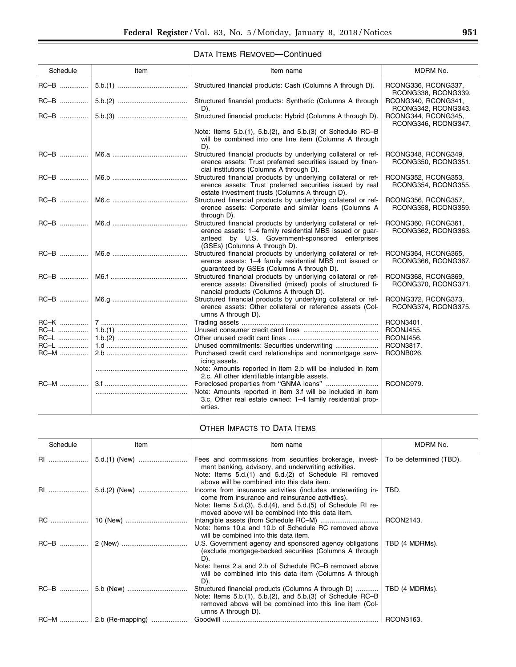| Schedule    | Item | Item name                                                                                                                                                                                                       | MDRM No.                                   |
|-------------|------|-----------------------------------------------------------------------------------------------------------------------------------------------------------------------------------------------------------------|--------------------------------------------|
|             |      | Structured financial products: Cash (Columns A through D).                                                                                                                                                      | RCONG336, RCONG337,<br>RCONG338, RCONG339. |
|             |      | Structured financial products: Synthetic (Columns A through<br>D).                                                                                                                                              | RCONG340, RCONG341,<br>RCONG342, RCONG343. |
|             |      | Structured financial products: Hybrid (Columns A through D).                                                                                                                                                    | RCONG344, RCONG345,<br>RCONG346, RCONG347. |
|             |      | Note: Items 5.b.(1), 5.b.(2), and 5.b.(3) of Schedule RC-B<br>will be combined into one line item (Columns A through<br>D).                                                                                     |                                            |
| RC-B        |      | Structured financial products by underlying collateral or ref-<br>erence assets: Trust preferred securities issued by finan-<br>cial institutions (Columns A through D).                                        | RCONG348, RCONG349,<br>RCONG350, RCONG351. |
|             |      | Structured financial products by underlying collateral or ref-<br>erence assets: Trust preferred securities issued by real<br>estate investment trusts (Columns A through D).                                   | RCONG352, RCONG353,<br>RCONG354, RCONG355. |
|             |      | Structured financial products by underlying collateral or ref-<br>erence assets: Corporate and similar loans (Columns A<br>through D).                                                                          | RCONG356, RCONG357,<br>RCONG358, RCONG359. |
|             |      | Structured financial products by underlying collateral or ref-<br>erence assets: 1-4 family residential MBS issued or quar-<br>anteed by U.S. Government-sponsored enterprises<br>(GSEs) (Columns A through D). | RCONG360, RCONG361,<br>RCONG362, RCONG363. |
|             |      | Structured financial products by underlying collateral or ref-<br>erence assets: 1-4 family residential MBS not issued or<br>guaranteed by GSEs (Columns A through D).                                          | RCONG364, RCONG365,<br>RCONG366, RCONG367. |
| $RC-B$      |      | Structured financial products by underlying collateral or ref-<br>erence assets: Diversified (mixed) pools of structured fi-<br>nancial products (Columns A through D).                                         | RCONG368, RCONG369,<br>RCONG370, RCONG371. |
|             |      | Structured financial products by underlying collateral or ref-<br>erence assets: Other collateral or reference assets (Col-<br>umns A through D).                                                               | RCONG372, RCONG373,<br>RCONG374, RCONG375. |
| $RC-K$      |      |                                                                                                                                                                                                                 | RCON3401.                                  |
| <b>RC-L</b> |      |                                                                                                                                                                                                                 | RCONJ455.                                  |
| RC-L        |      |                                                                                                                                                                                                                 | RCONJ456.                                  |
| $RC-L$      |      |                                                                                                                                                                                                                 | RCON3817.                                  |
| RC-M        |      | Purchased credit card relationships and nonmortgage serv-<br>icing assets.                                                                                                                                      | RCONB026.                                  |
|             |      | Note: Amounts reported in item 2.b will be included in item<br>2.c. All other identifiable intangible assets.                                                                                                   |                                            |
| RC-M        |      |                                                                                                                                                                                                                 | RCONC979.                                  |
|             |      | Note: Amounts reported in item 3.f will be included in item<br>3.c, Other real estate owned: 1-4 family residential prop-                                                                                       |                                            |
|             |      | erties.                                                                                                                                                                                                         |                                            |

# OTHER IMPACTS TO DATA ITEMS

| Schedule  | Item                      | Item name                                                                                                                                                                                                                              | MDRM No.                |
|-----------|---------------------------|----------------------------------------------------------------------------------------------------------------------------------------------------------------------------------------------------------------------------------------|-------------------------|
| RI        | $5.d.(1)$ (New)           | Fees and commissions from securities brokerage, invest-<br>ment banking, advisory, and underwriting activities.<br>Note: Items 5.d.(1) and 5.d.(2) of Schedule RI removed                                                              | To be determined (TBD). |
| <b>RI</b> |                           | above will be combined into this data item.<br>Income from insurance activities (includes underwriting in-<br>come from insurance and reinsurance activities).<br>Note: Items $5.d.(3)$ , $5.d.(4)$ , and $5.d.(5)$ of Schedule RI re- | TBD.                    |
|           |                           | moved above will be combined into this data item.<br>Note: Items 10.a and 10.b of Schedule RC removed above<br>will be combined into this data item.                                                                                   | RCON2143.               |
|           |                           | U.S. Government agency and sponsored agency obligations<br>(exclude mortgage-backed securities (Columns A through<br>D).                                                                                                               | TBD (4 MDRMs).          |
|           |                           | Note: Items 2.a and 2.b of Schedule RC-B removed above<br>will be combined into this data item (Columns A through<br>D).                                                                                                               |                         |
|           |                           | Structured financial products (Columns A through D)<br>Note: Items $5.b.(1)$ , $5.b.(2)$ , and $5.b.(3)$ of Schedule RC-B<br>removed above will be combined into this line item (Col-<br>umns A through D).                            | TBD (4 MDRMs).          |
|           | $RC-M$   2.b (Re-mapping) |                                                                                                                                                                                                                                        | RCON3163.               |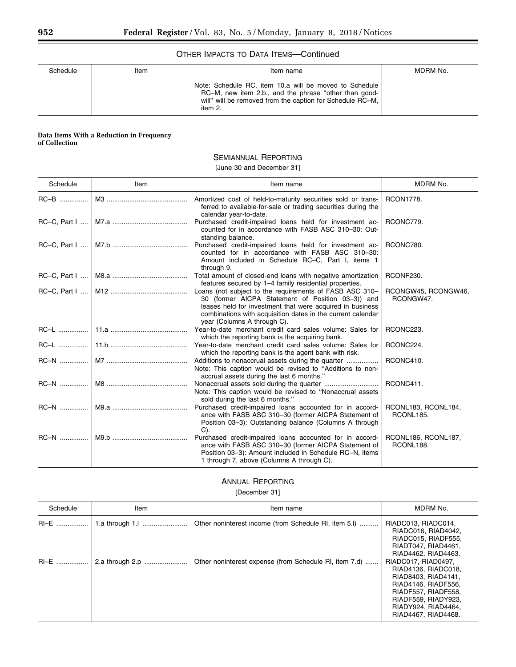### OTHER IMPACTS TO DATA ITEMS—Continued

| Schedule | ltem | Item name                                                                                                                                                                               | MDRM No. |
|----------|------|-----------------------------------------------------------------------------------------------------------------------------------------------------------------------------------------|----------|
|          |      | Note: Schedule RC, item 10.a will be moved to Schedule<br>RC-M, new item 2.b., and the phrase "other than good-<br>will" will be removed from the caption for Schedule RC-M,<br>item 2. |          |

#### **Data Items With a Reduction in Frequency of Collection**

# SEMIANNUAL REPORTING

[June 30 and December 31]

| Schedule | Item | Item name                                                                                                                                                                                                                                                               | MDRM No.                         |
|----------|------|-------------------------------------------------------------------------------------------------------------------------------------------------------------------------------------------------------------------------------------------------------------------------|----------------------------------|
| $RC-B$   |      | Amortized cost of held-to-maturity securities sold or trans-<br>ferred to available-for-sale or trading securities during the<br>calendar year-to-date.                                                                                                                 | <b>RCON1778.</b>                 |
|          |      | Purchased credit-impaired loans held for investment ac-<br>counted for in accordance with FASB ASC 310-30: Out-<br>standing balance.                                                                                                                                    | RCONC779.                        |
|          |      | Purchased credit-impaired loans held for investment ac-<br>counted for in accordance with FASB ASC 310-30:<br>Amount included in Schedule RC-C, Part I, items 1<br>through 9.                                                                                           | RCONC780.                        |
|          |      | Total amount of closed-end loans with negative amortization<br>features secured by 1-4 family residential properties.                                                                                                                                                   | RCONF230.                        |
|          |      | Loans (not subject to the requirements of FASB ASC 310-<br>30 (former AICPA Statement of Position 03-3)) and<br>leases held for investment that were acquired in business<br>combinations with acquisition dates in the current calendar<br>year (Columns A through C). | RCONGW45, RCONGW46,<br>RCONGW47. |
|          |      | Year-to-date merchant credit card sales volume: Sales for<br>which the reporting bank is the acquiring bank.                                                                                                                                                            | RCONC223.                        |
|          |      | Year-to-date merchant credit card sales volume: Sales for<br>which the reporting bank is the agent bank with risk.                                                                                                                                                      | RCONC224.                        |
|          |      | Additions to nonaccrual assets during the quarter<br>Note: This caption would be revised to "Additions to non-<br>accrual assets during the last 6 months."                                                                                                             | RCONC410.                        |
|          |      | Note: This caption would be revised to "Nonaccrual assets<br>sold during the last 6 months."                                                                                                                                                                            | RCONC411.                        |
|          |      | Purchased credit-impaired loans accounted for in accord-<br>ance with FASB ASC 310-30 (former AICPA Statement of<br>Position 03-3): Outstanding balance (Columns A through<br>$C$ ).                                                                                    | RCONL183, RCONL184,<br>RCONL185. |
| RC-N     |      | Purchased credit-impaired loans accounted for in accord-<br>ance with FASB ASC 310-30 (former AICPA Statement of<br>Position 03-3): Amount included in Schedule RC-N, items<br>1 through 7, above (Columns A through C).                                                | RCONL186, RCONL187,<br>RCONL188. |

# ANNUAL REPORTING

[December 31]

| Schedule | Item            | Item name                                              | MDRM No.                                                                                                                                                                             |
|----------|-----------------|--------------------------------------------------------|--------------------------------------------------------------------------------------------------------------------------------------------------------------------------------------|
| RI-E     |                 | Other noninterest income (from Schedule RI, item 5.1)  | RIADC013, RIADC014,<br>RIADC016, RIAD4042,<br>RIADC015, RIADF555.<br>RIADT047, RIAD4461,<br>RIAD4462, RIAD4463.                                                                      |
| RI-E     | 2.a through 2.p | Other noninterest expense (from Schedule RI, item 7.d) | RIADC017, RIAD0497,<br>RIAD4136, RIADC018,<br>RIAD8403, RIAD4141,<br>RIAD4146, RIADF556,<br>RIADF557, RIADF558,<br>RIADF559, RIADY923,<br>RIADY924, RIAD4464,<br>RIAD4467, RIAD4468. |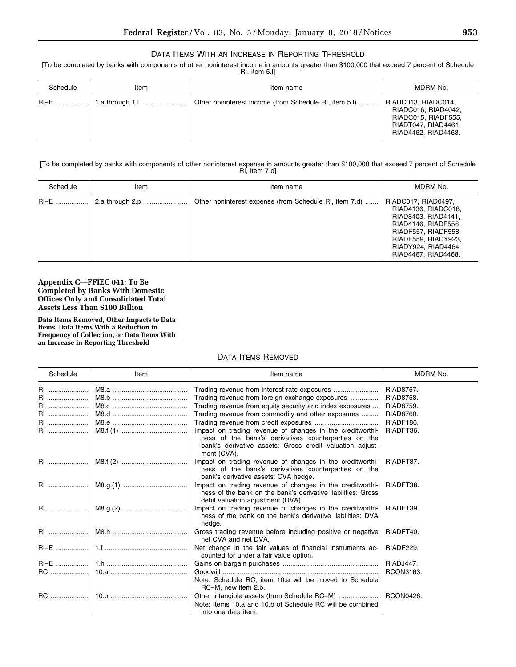## DATA ITEMS WITH AN INCREASE IN REPORTING THRESHOLD

[To be completed by banks with components of other noninterest income in amounts greater than \$100,000 that exceed 7 percent of Schedule RI, item 5.l]

| Schedule | Item            | Item name                                             | MDRM No.                                                                                                        |
|----------|-----------------|-------------------------------------------------------|-----------------------------------------------------------------------------------------------------------------|
| RI-E !   | 1.a through 1.l | Other noninterest income (from Schedule RI, item 5.1) | RIADC013, RIADC014,<br>RIADC016, RIAD4042,<br>RIADC015, RIADF555,<br>RIADT047, RIAD4461,<br>RIAD4462, RIAD4463. |

[To be completed by banks with components of other noninterest expense in amounts greater than \$100,000 that exceed 7 percent of Schedule RI, item 7.d]

| Schedule | Item            | Item name                                              | MDRM No.                                                                                                                                                                             |
|----------|-----------------|--------------------------------------------------------|--------------------------------------------------------------------------------------------------------------------------------------------------------------------------------------|
|          | 2.a through 2.p | Other noninterest expense (from Schedule RI, item 7.d) | RIADC017, RIAD0497,<br>RIAD4136, RIADC018,<br>RIAD8403, RIAD4141,<br>RIAD4146, RIADF556,<br>RIADF557, RIADF558,<br>RIADF559, RIADY923,<br>RIADY924, RIAD4464,<br>RIAD4467, RIAD4468. |

### **Appendix C—FFIEC 041: To Be Completed by Banks With Domestic Offices Only and Consolidated Total Assets Less Than \$100 Billion**

**Data Items Removed, Other Impacts to Data Items, Data Items With a Reduction in Frequency of Collection, or Data Items With an Increase in Reporting Threshold** 

# DATA ITEMS REMOVED

| Schedule  | Item | Item name                                                                                                                                                                                    | MDRM No.         |
|-----------|------|----------------------------------------------------------------------------------------------------------------------------------------------------------------------------------------------|------------------|
| RI        |      |                                                                                                                                                                                              | <b>RIAD8757.</b> |
| <b>RI</b> |      | Trading revenue from foreign exchange exposures                                                                                                                                              | <b>RIAD8758.</b> |
| RI        |      | Trading revenue from equity security and index exposures                                                                                                                                     | RIAD8759.        |
| RI        |      | Trading revenue from commodity and other exposures                                                                                                                                           | RIAD8760.        |
| RI        |      |                                                                                                                                                                                              | RIADF186.        |
| <b>RI</b> |      | Impact on trading revenue of changes in the creditworthi-<br>ness of the bank's derivatives counterparties on the<br>bank's derivative assets: Gross credit valuation adjust-<br>ment (CVA). | RIADFT36.        |
| RI        |      | Impact on trading revenue of changes in the creditworthi-<br>ness of the bank's derivatives counterparties on the<br>bank's derivative assets: CVA hedge.                                    | RIADFT37.        |
|           |      | Impact on trading revenue of changes in the creditworthi-<br>ness of the bank on the bank's derivative liabilities: Gross<br>debit valuation adjustment (DVA).                               | RIADFT38.        |
|           |      | Impact on trading revenue of changes in the creditworthi-<br>ness of the bank on the bank's derivative liabilities: DVA<br>hedge.                                                            | RIADFT39.        |
|           |      | Gross trading revenue before including positive or negative<br>net CVA and net DVA.                                                                                                          | RIADFT40.        |
|           |      | Net change in the fair values of financial instruments ac-<br>counted for under a fair value option.                                                                                         | RIADF229.        |
|           |      |                                                                                                                                                                                              | RIADJ447.        |
|           |      | Note: Schedule RC, item 10.a will be moved to Schedule<br>RC-M, new item 2.b.                                                                                                                | RCON3163.        |
| <b>RC</b> |      | Note: Items 10.a and 10.b of Schedule RC will be combined<br>into one data item.                                                                                                             | <b>RCON0426.</b> |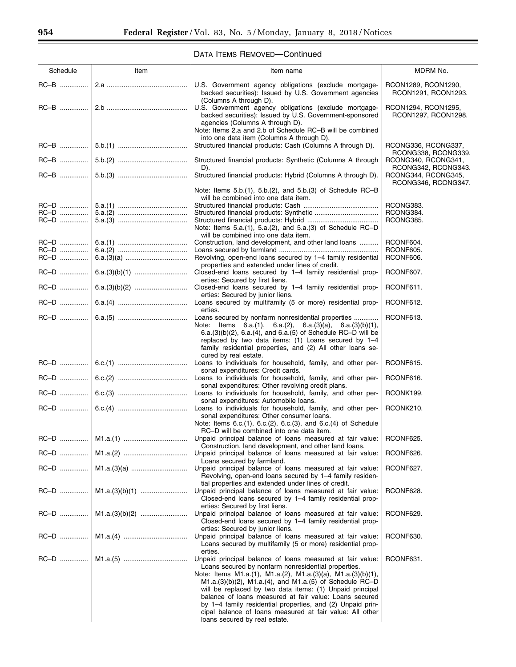| Schedule     | Item                   | Item name                                                                                                                                                                                                                                                                                                                                                                                                                                                                                                                            | MDRM No.                                   |
|--------------|------------------------|--------------------------------------------------------------------------------------------------------------------------------------------------------------------------------------------------------------------------------------------------------------------------------------------------------------------------------------------------------------------------------------------------------------------------------------------------------------------------------------------------------------------------------------|--------------------------------------------|
| RC-B         |                        | U.S. Government agency obligations (exclude mortgage-<br>backed securities): Issued by U.S. Government agencies                                                                                                                                                                                                                                                                                                                                                                                                                      | RCON1289, RCON1290,<br>RCON1291, RCON1293. |
|              |                        | (Columns A through D).<br>U.S. Government agency obligations (exclude mortgage-<br>backed securities): Issued by U.S. Government-sponsored<br>agencies (Columns A through D).<br>Note: Items 2.a and 2.b of Schedule RC-B will be combined                                                                                                                                                                                                                                                                                           | RCON1294, RCON1295,<br>RCON1297, RCON1298. |
|              |                        | into one data item (Columns A through D).<br>Structured financial products: Cash (Columns A through D).                                                                                                                                                                                                                                                                                                                                                                                                                              | RCONG336, RCONG337,<br>RCONG338, RCONG339. |
|              |                        | Structured financial products: Synthetic (Columns A through<br>D).                                                                                                                                                                                                                                                                                                                                                                                                                                                                   | RCONG340, RCONG341,<br>RCONG342, RCONG343. |
|              |                        | Structured financial products: Hybrid (Columns A through D).                                                                                                                                                                                                                                                                                                                                                                                                                                                                         | RCONG344, RCONG345,<br>RCONG346, RCONG347. |
|              |                        | Note: Items 5.b.(1), 5.b.(2), and 5.b.(3) of Schedule RC-B<br>will be combined into one data item.                                                                                                                                                                                                                                                                                                                                                                                                                                   |                                            |
| RC-D<br>RC-D |                        |                                                                                                                                                                                                                                                                                                                                                                                                                                                                                                                                      | RCONG383.<br>RCONG384.                     |
| RC-D         |                        |                                                                                                                                                                                                                                                                                                                                                                                                                                                                                                                                      | RCONG385.                                  |
|              |                        | Note: Items 5.a.(1), 5.a.(2), and 5.a.(3) of Schedule RC-D<br>will be combined into one data item.                                                                                                                                                                                                                                                                                                                                                                                                                                   |                                            |
| RC-D         |                        | Construction, land development, and other land loans                                                                                                                                                                                                                                                                                                                                                                                                                                                                                 | RCONF604.                                  |
| RC-D         |                        |                                                                                                                                                                                                                                                                                                                                                                                                                                                                                                                                      | RCONF605.                                  |
| RC-D         |                        | Revolving, open-end loans secured by 1-4 family residential<br>properties and extended under lines of credit.                                                                                                                                                                                                                                                                                                                                                                                                                        | RCONF606.                                  |
| RC-D         |                        | Closed-end loans secured by 1-4 family residential prop-<br>erties: Secured by first liens.                                                                                                                                                                                                                                                                                                                                                                                                                                          | RCONF607.                                  |
|              |                        | Closed-end loans secured by 1-4 family residential prop-<br>erties: Secured by junior liens.                                                                                                                                                                                                                                                                                                                                                                                                                                         | RCONF611.                                  |
|              |                        | Loans secured by multifamily (5 or more) residential prop-<br>erties.<br>Loans secured by nonfarm nonresidential properties                                                                                                                                                                                                                                                                                                                                                                                                          | RCONF612.<br>RCONF613.                     |
|              |                        | Note: Items 6.a.(1), 6.a.(2), 6.a.(3)(a), 6.a.(3)(b)(1),<br>6.a.(3)(b)(2), 6.a.(4), and 6.a.(5) of Schedule RC-D will be<br>replaced by two data items: (1) Loans secured by 1-4<br>family residential properties, and (2) All other loans se-<br>cured by real estate.                                                                                                                                                                                                                                                              |                                            |
| RC-D         |                        | Loans to individuals for household, family, and other per-<br>sonal expenditures: Credit cards.                                                                                                                                                                                                                                                                                                                                                                                                                                      | RCONF615.                                  |
|              |                        | Loans to individuals for household, family, and other per-<br>sonal expenditures: Other revolving credit plans.                                                                                                                                                                                                                                                                                                                                                                                                                      | RCONF616.                                  |
|              |                        | Loans to individuals for household, family, and other per-<br>sonal expenditures: Automobile loans.                                                                                                                                                                                                                                                                                                                                                                                                                                  | RCONK199.                                  |
|              |                        | Loans to individuals for household, family, and other per-<br>sonal expenditures: Other consumer loans.<br>Note: Items 6.c.(1), 6.c.(2), 6.c.(3), and 6.c.(4) of Schedule<br>RC-D will be combined into one data item.                                                                                                                                                                                                                                                                                                               | RCONK210.                                  |
|              |                        | Unpaid principal balance of loans measured at fair value:   RCONF625.<br>Construction, land development, and other land loans.                                                                                                                                                                                                                                                                                                                                                                                                       |                                            |
| RC-D         |                        | Unpaid principal balance of loans measured at fair value:<br>Loans secured by farmland.                                                                                                                                                                                                                                                                                                                                                                                                                                              | RCONF626.                                  |
|              | RC-D    M1.a.(3)(a)    | Unpaid principal balance of loans measured at fair value:<br>Revolving, open-end loans secured by 1-4 family residen-<br>tial properties and extended under lines of credit.                                                                                                                                                                                                                                                                                                                                                         | RCONF627.                                  |
|              | RC-D    M1.a.(3)(b)(1) | Unpaid principal balance of loans measured at fair value:<br>Closed-end loans secured by 1-4 family residential prop-<br>erties: Secured by first liens.                                                                                                                                                                                                                                                                                                                                                                             | RCONF628.                                  |
|              |                        | Unpaid principal balance of loans measured at fair value:<br>Closed-end loans secured by 1-4 family residential prop-<br>erties: Secured by junior liens.                                                                                                                                                                                                                                                                                                                                                                            | RCONF629.                                  |
|              |                        | Unpaid principal balance of loans measured at fair value:<br>Loans secured by multifamily (5 or more) residential prop-<br>erties.                                                                                                                                                                                                                                                                                                                                                                                                   | RCONF630.                                  |
|              |                        | Unpaid principal balance of loans measured at fair value:<br>Loans secured by nonfarm nonresidential properties.<br>Note: Items M1.a.(1), M1.a.(2), M1.a.(3)(a), M1.a.(3)(b)(1),<br>$M1.a.(3)(b)(2)$ , $M1.a.(4)$ , and $M1.a.(5)$ of Schedule RC-D<br>will be replaced by two data items: (1) Unpaid principal<br>balance of loans measured at fair value: Loans secured<br>by 1-4 family residential properties, and (2) Unpaid prin-<br>cipal balance of loans measured at fair value: All other<br>loans secured by real estate. | RCONF631.                                  |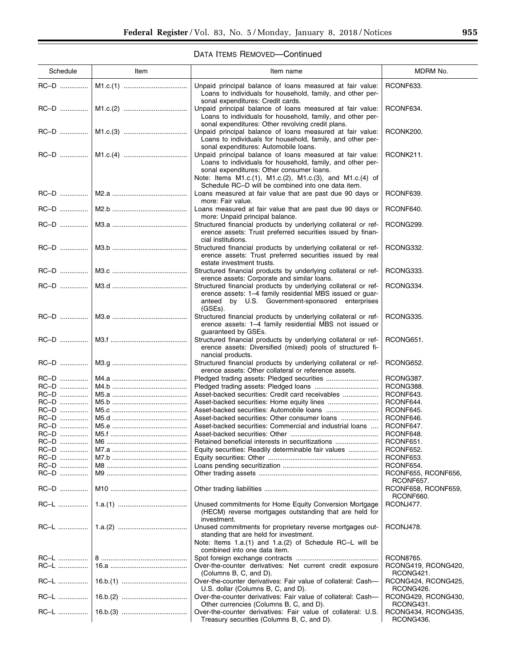| Schedule     | Item | Item name                                                                                                                                                                                                                                                                               | MDRM No.                         |
|--------------|------|-----------------------------------------------------------------------------------------------------------------------------------------------------------------------------------------------------------------------------------------------------------------------------------------|----------------------------------|
| RC-D         |      | Unpaid principal balance of loans measured at fair value:<br>Loans to individuals for household, family, and other per-<br>sonal expenditures: Credit cards.                                                                                                                            | RCONF633.                        |
|              |      | Unpaid principal balance of loans measured at fair value:<br>Loans to individuals for household, family, and other per-<br>sonal expenditures: Other revolving credit plans.                                                                                                            | RCONF634.                        |
|              |      | Unpaid principal balance of loans measured at fair value:<br>Loans to individuals for household, family, and other per-<br>sonal expenditures: Automobile loans.                                                                                                                        | RCONK200.                        |
|              |      | Unpaid principal balance of loans measured at fair value:<br>Loans to individuals for household, family, and other per-<br>sonal expenditures: Other consumer loans.<br>Note: Items M1.c.(1), M1.c.(2), M1.c.(3), and M1.c.(4) of<br>Schedule RC-D will be combined into one data item. | RCONK211.                        |
| RC-D         |      | Loans measured at fair value that are past due 90 days or<br>more: Fair value.                                                                                                                                                                                                          | RCONF639.                        |
| RC-D         |      | Loans measured at fair value that are past due 90 days or<br>more: Unpaid principal balance.                                                                                                                                                                                            | RCONF640.                        |
|              |      | Structured financial products by underlying collateral or ref-<br>erence assets: Trust preferred securities issued by finan-<br>cial institutions.                                                                                                                                      | RCONG299.                        |
| RC-D         |      | Structured financial products by underlying collateral or ref-<br>erence assets: Trust preferred securities issued by real<br>estate investment trusts.                                                                                                                                 | RCONG332.                        |
| RC-D         |      | Structured financial products by underlying collateral or ref-<br>erence assets: Corporate and similar loans.                                                                                                                                                                           | RCONG333.                        |
| RC-D         |      | Structured financial products by underlying collateral or ref-<br>erence assets: 1-4 family residential MBS issued or guar-<br>by U.S. Government-sponsored enterprises<br>anteed<br>(GSEs).                                                                                            | RCONG334.                        |
| RC-D         |      | Structured financial products by underlying collateral or ref-<br>erence assets: 1-4 family residential MBS not issued or<br>guaranteed by GSEs.                                                                                                                                        | RCONG335.                        |
| RC-D         |      | Structured financial products by underlying collateral or ref-<br>erence assets: Diversified (mixed) pools of structured fi-<br>nancial products.                                                                                                                                       | RCONG651.                        |
| RC-D         |      | Structured financial products by underlying collateral or ref-<br>erence assets: Other collateral or reference assets.                                                                                                                                                                  | RCONG652.                        |
| RC-D         |      |                                                                                                                                                                                                                                                                                         | RCONG387.                        |
| RC-D         |      |                                                                                                                                                                                                                                                                                         | RCONG388.                        |
| RC-D         |      | Asset-backed securities: Credit card receivables                                                                                                                                                                                                                                        | RCONF643.                        |
|              |      |                                                                                                                                                                                                                                                                                         |                                  |
| RC-D         |      |                                                                                                                                                                                                                                                                                         | RCONF644.                        |
| RC-D         |      |                                                                                                                                                                                                                                                                                         | RCONF645.                        |
| RC-D         |      |                                                                                                                                                                                                                                                                                         | RCONF646.                        |
| RC-D         |      | Asset-backed securities: Commercial and industrial loans                                                                                                                                                                                                                                | RCONF647.                        |
|              |      |                                                                                                                                                                                                                                                                                         |                                  |
| RC-D         |      |                                                                                                                                                                                                                                                                                         | RCONF648.                        |
| RC-D         |      | Retained beneficial interests in securitizations                                                                                                                                                                                                                                        | RCONF651.                        |
| $RC-D$       |      | Equity securities: Readily determinable fair values                                                                                                                                                                                                                                     | RCONF652.                        |
| RC-D         |      |                                                                                                                                                                                                                                                                                         | RCONF653.                        |
| RC-D         |      |                                                                                                                                                                                                                                                                                         | RCONF654.                        |
|              |      |                                                                                                                                                                                                                                                                                         |                                  |
| RC-D         |      |                                                                                                                                                                                                                                                                                         | RCONF655, RCONF656,<br>RCONF657. |
| RC-D<br>RC-L |      | Unused commitments for Home Equity Conversion Mortgage                                                                                                                                                                                                                                  | RCONF658, RCONF659,<br>RCONF660. |
|              |      | (HECM) reverse mortgages outstanding that are held for<br>investment.                                                                                                                                                                                                                   | RCONJ477.                        |
|              |      | Unused commitments for proprietary reverse mortgages out-<br>standing that are held for investment.<br>Note: Items 1.a.(1) and 1.a.(2) of Schedule RC-L will be<br>combined into one data item.                                                                                         | RCONJ478.                        |
| RC-L<br>RC-L |      | Over-the-counter derivatives: Net current credit exposure                                                                                                                                                                                                                               | RCON8765.<br>RCONG419, RCONG420, |
| RC-L         |      | (Columns B, C, and D).<br>Over-the-counter derivatives: Fair value of collateral: Cash-                                                                                                                                                                                                 | RCONG421.<br>RCONG424, RCONG425, |
| RC-L         |      | U.S. dollar (Columns B, C, and D).<br>Over-the-counter derivatives: Fair value of collateral: Cash-                                                                                                                                                                                     | RCONG426.<br>RCONG429, RCONG430, |
| RC-L         |      | Other currencies (Columns B, C, and D).<br>Over-the-counter derivatives: Fair value of collateral: U.S.                                                                                                                                                                                 | RCONG431.<br>RCONG434, RCONG435, |
|              |      | Treasury securities (Columns B, C, and D).                                                                                                                                                                                                                                              | RCONG436.                        |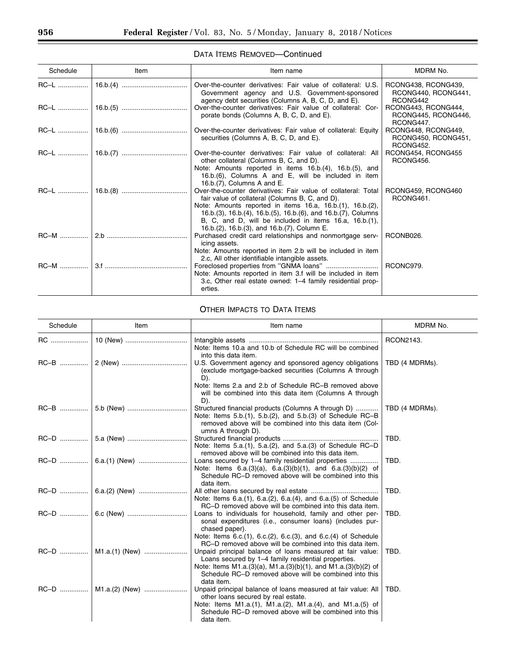| Schedule    | Item | Item name                                                                                                                                                                                                                                                                              | MDRM No.                                                |
|-------------|------|----------------------------------------------------------------------------------------------------------------------------------------------------------------------------------------------------------------------------------------------------------------------------------------|---------------------------------------------------------|
|             |      | Over-the-counter derivatives: Fair value of collateral: U.S.<br>Government agency and U.S. Government-sponsored<br>agency debt securities (Columns A, B, C, D, and E).                                                                                                                 | RCONG438, RCONG439,<br>RCONG440, RCONG441,<br>RCONG442  |
|             |      | Over-the-counter derivatives: Fair value of collateral: Cor-<br>porate bonds (Columns A, B, C, D, and E).                                                                                                                                                                              | RCONG443, RCONG444,<br>RCONG445, RCONG446,<br>RCONG447. |
|             |      | Over-the-counter derivatives: Fair value of collateral: Equity<br>securities (Columns A, B, C, D, and E).                                                                                                                                                                              | RCONG448, RCONG449,<br>RCONG450, RCONG451,<br>RCONG452. |
|             |      | Over-the-counter derivatives: Fair value of collateral: All<br>other collateral (Columns B, C, and D).<br>Note: Amounts reported in items 16.b.(4), 16.b.(5), and                                                                                                                      | RCONG454, RCONG455<br>RCONG456.                         |
| RC-L        |      | 16.b.(6), Columns A and E, will be included in item<br>16.b.(7), Columns A and E.<br>Over-the-counter derivatives: Fair value of collateral: Total                                                                                                                                     | RCONG459, RCONG460                                      |
|             |      | fair value of collateral (Columns B, C, and D).<br>Note: Amounts reported in items 16.a, 16.b.(1), 16.b.(2),<br>16.b.(3), 16.b.(4), 16.b.(5), 16.b.(6), and 16.b.(7), Columns<br>B, C, and D, will be included in items 16.a, 16.b.(1),<br>16.b.(2), 16.b.(3), and 16.b.(7), Column E. | RCONG461.                                               |
| $RC-M$      |      | Purchased credit card relationships and nonmortgage serv-<br>icing assets.                                                                                                                                                                                                             | RCONB026.                                               |
| <b>RC-M</b> |      | Note: Amounts reported in item 2.b will be included in item<br>2.c, All other identifiable intangible assets.<br>Note: Amounts reported in item 3.f will be included in item<br>3.c, Other real estate owned: 1–4 family residential prop-                                             | RCONC979.                                               |
|             |      | erties.                                                                                                                                                                                                                                                                                |                                                         |

# OTHER IMPACTS TO DATA ITEMS

| Schedule | Item           | Item name                                                                                                                                                                                                                                                                                                              | MDRM No.       |
|----------|----------------|------------------------------------------------------------------------------------------------------------------------------------------------------------------------------------------------------------------------------------------------------------------------------------------------------------------------|----------------|
| RC       | 10 (New)       | Note: Items 10.a and 10.b of Schedule RC will be combined<br>into this data item.                                                                                                                                                                                                                                      | RCON2143.      |
|          |                | U.S. Government agency and sponsored agency obligations<br>(exclude mortgage-backed securities (Columns A through<br>$D$ ).                                                                                                                                                                                            | TBD (4 MDRMs). |
|          |                | Note: Items 2.a and 2.b of Schedule RC-B removed above<br>will be combined into this data item (Columns A through<br>D).                                                                                                                                                                                               |                |
|          |                | Structured financial products (Columns A through D)<br>Note: Items $5.b.(1)$ , $5.b.(2)$ , and $5.b.(3)$ of Schedule RC-B<br>removed above will be combined into this data item (Col-<br>umns A through D).                                                                                                            | TBD (4 MDRMs). |
|          |                | Note: Items 5.a.(1), 5.a.(2), and 5.a.(3) of Schedule RC-D<br>removed above will be combined into this data item.                                                                                                                                                                                                      | TBD.           |
|          |                | Loans secured by 1-4 family residential properties<br>Note: Items $6.a.(3)(a)$ , $6.a.(3)(b)(1)$ , and $6.a.(3)(b)(2)$ of<br>Schedule RC-D removed above will be combined into this<br>data item.                                                                                                                      | TBD.           |
|          |                | Note: Items 6.a.(1), 6.a.(2), 6.a.(4), and 6.a.(5) of Schedule<br>RC-D removed above will be combined into this data item.                                                                                                                                                                                             | TBD.           |
|          |                | Loans to individuals for household, family and other per-<br>sonal expenditures (i.e., consumer loans) (includes pur-<br>chased paper).<br>Note: Items 6.c.(1), 6.c.(2), 6.c.(3), and 6.c.(4) of Schedule                                                                                                              | TBD.           |
|          | M1.a.(1) (New) | RC-D removed above will be combined into this data item.<br>Unpaid principal balance of loans measured at fair value:<br>Loans secured by 1–4 family residential properties.<br>Note: Items M1.a.(3)(a), M1.a.(3)(b)(1), and M1.a.(3)(b)(2) of<br>Schedule RC–D removed above will be combined into this<br>data item. | TBD.           |
|          |                | Unpaid principal balance of loans measured at fair value: All<br>other loans secured by real estate.<br>Note: Items M1.a.(1), M1.a.(2), M1.a.(4), and M1.a.(5) of<br>Schedule RC-D removed above will be combined into this<br>data item.                                                                              | TBD.           |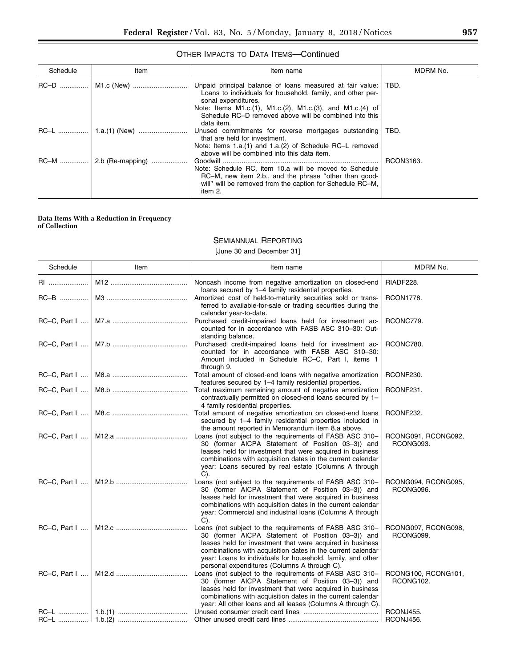| Schedule    | Item             | Item name                                                                                                                                                                               | MDRM No.  |
|-------------|------------------|-----------------------------------------------------------------------------------------------------------------------------------------------------------------------------------------|-----------|
|             |                  | Unpaid principal balance of loans measured at fair value:<br>Loans to individuals for household, family, and other per-<br>sonal expenditures.                                          | ∣ TBD.    |
|             |                  | Note: Items M1.c.(1), M1.c.(2), M1.c.(3), and M1.c.(4) of<br>Schedule RC-D removed above will be combined into this<br>data item.                                                       |           |
|             |                  | Unused commitments for reverse mortgages outstanding<br>that are held for investment.<br>Note: Items 1.a.(1) and 1.a.(2) of Schedule RC-L removed                                       | TBD.      |
| <b>RC-M</b> | 2.b (Re-mapping) | above will be combined into this data item.                                                                                                                                             | RCON3163. |
|             |                  | Note: Schedule RC, item 10.a will be moved to Schedule<br>RC-M, new item 2.b., and the phrase "other than good-<br>will" will be removed from the caption for Schedule RC-M,<br>item 2. |           |

### OTHER IMPACTS TO DATA ITEMS—Continued

#### **Data Items With a Reduction in Frequency of Collection**

# SEMIANNUAL REPORTING

# [June 30 and December 31]

| Schedule | Item | Item name                                                                                                                                                                                                                                                                                                                                               | MDRM No.                         |
|----------|------|---------------------------------------------------------------------------------------------------------------------------------------------------------------------------------------------------------------------------------------------------------------------------------------------------------------------------------------------------------|----------------------------------|
|          |      | Noncash income from negative amortization on closed-end<br>loans secured by 1-4 family residential properties.                                                                                                                                                                                                                                          | RIADF228.                        |
| RC-B     |      | Amortized cost of held-to-maturity securities sold or trans-<br>ferred to available-for-sale or trading securities during the                                                                                                                                                                                                                           | <b>RCON1778.</b>                 |
|          |      | calendar year-to-date.<br>Purchased credit-impaired loans held for investment ac-<br>counted for in accordance with FASB ASC 310-30: Out-                                                                                                                                                                                                               | RCONC779.                        |
|          |      | standing balance.<br>Purchased credit-impaired loans held for investment ac-<br>counted for in accordance with FASB ASC 310-30:<br>Amount included in Schedule RC-C, Part I, items 1<br>through 9.                                                                                                                                                      | RCONC780.                        |
|          |      | Total amount of closed-end loans with negative amortization<br>features secured by 1-4 family residential properties.                                                                                                                                                                                                                                   | RCONF230.                        |
|          |      | Total maximum remaining amount of negative amortization<br>contractually permitted on closed-end loans secured by 1-<br>4 family residential properties.                                                                                                                                                                                                | RCONF231.                        |
|          |      | Total amount of negative amortization on closed-end loans<br>secured by 1-4 family residential properties included in<br>the amount reported in Memorandum item 8.a above.                                                                                                                                                                              | RCONF232.                        |
|          |      | Loans (not subject to the requirements of FASB ASC 310-<br>30 (former AICPA Statement of Position 03-3)) and<br>leases held for investment that were acquired in business<br>combinations with acquisition dates in the current calendar<br>year: Loans secured by real estate (Columns A through<br>$C$ ).                                             | RCONG091, RCONG092,<br>RCONG093. |
|          |      | Loans (not subject to the requirements of FASB ASC 310-<br>30 (former AICPA Statement of Position 03-3)) and<br>leases held for investment that were acquired in business<br>combinations with acquisition dates in the current calendar<br>year: Commercial and industrial loans (Columns A through<br>$C$ ).                                          | RCONG094, RCONG095,<br>RCONG096. |
|          |      | Loans (not subject to the requirements of FASB ASC 310-<br>30 (former AICPA Statement of Position 03-3)) and<br>leases held for investment that were acquired in business<br>combinations with acquisition dates in the current calendar<br>year: Loans to individuals for household, family, and other<br>personal expenditures (Columns A through C). | RCONG097, RCONG098,<br>RCONG099. |
|          |      | Loans (not subject to the requirements of FASB ASC 310-<br>30 (former AICPA Statement of Position 03-3)) and<br>leases held for investment that were acquired in business<br>combinations with acquisition dates in the current calendar<br>year: All other loans and all leases (Columns A through C).                                                 | RCONG100, RCONG101,<br>RCONG102. |
|          |      |                                                                                                                                                                                                                                                                                                                                                         | RCONJ455.<br>RCONJ456.           |
|          |      |                                                                                                                                                                                                                                                                                                                                                         |                                  |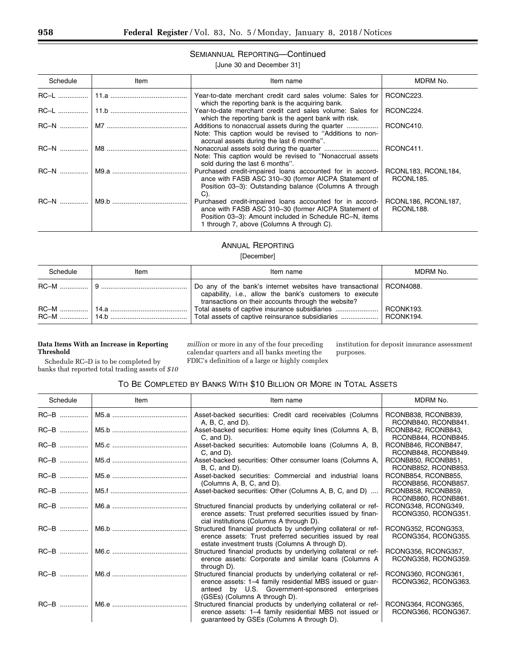# SEMIANNUAL REPORTING—Continued

### [June 30 and December 31]

|  | <b>JUILE OU AIR DECENIDEL OF</b> |  |
|--|----------------------------------|--|
|  |                                  |  |

| Schedule | Item | Item name                                                                                                                                                                                                                | MDRM No.                         |
|----------|------|--------------------------------------------------------------------------------------------------------------------------------------------------------------------------------------------------------------------------|----------------------------------|
|          |      | Year-to-date merchant credit card sales volume: Sales for<br>which the reporting bank is the acquiring bank.                                                                                                             | RCONC223.                        |
|          |      | Year-to-date merchant credit card sales volume: Sales for<br>which the reporting bank is the agent bank with risk.                                                                                                       | RCONC224.                        |
|          |      | Note: This caption would be revised to "Additions to non-<br>accrual assets during the last 6 months".                                                                                                                   | RCONC410.                        |
|          |      | Note: This caption would be revised to "Nonaccrual assets<br>sold during the last 6 months".                                                                                                                             | RCONC411.                        |
|          |      | Purchased credit-impaired loans accounted for in accord-<br>ance with FASB ASC 310-30 (former AICPA Statement of<br>Position 03-3): Outstanding balance (Columns A through<br>C).                                        | RCONL183, RCONL184,<br>RCONL185. |
|          |      | Purchased credit-impaired loans accounted for in accord-<br>ance with FASB ASC 310-30 (former AICPA Statement of<br>Position 03-3): Amount included in Schedule RC-N, items<br>1 through 7, above (Columns A through C). | RCONL186, RCONL187,<br>RCONL188. |

# ANNUAL REPORTING

#### [December]

| Schedule | Item | Item name                                                                                                                                                                               | MDRM No. |
|----------|------|-----------------------------------------------------------------------------------------------------------------------------------------------------------------------------------------|----------|
|          |      | Do any of the bank's internet websites have transactional   RCON4088.<br>capability, i.e., allow the bank's customers to execute<br>transactions on their accounts through the website? |          |
|          |      | Total assets of captive insurance subsidiaries    RCONK193.                                                                                                                             |          |

### **Data Items With an Increase in Reporting Threshold**

*million* or more in any of the four preceding calendar quarters and all banks meeting the FDIC's definition of a large or highly complex

institution for deposit insurance assessment purposes.

Schedule RC–D is to be completed by banks that reported total trading assets of *\$10* 

# TO BE COMPLETED BY BANKS WITH \$10 BILLION OR MORE IN TOTAL ASSETS

| Schedule | Item | Item name                                                                                                                                                                                                       | MDRM No.                                   |
|----------|------|-----------------------------------------------------------------------------------------------------------------------------------------------------------------------------------------------------------------|--------------------------------------------|
|          |      | Asset-backed securities: Credit card receivables (Columns<br>$A, B, C, and D$ .                                                                                                                                 | RCONB838, RCONB839,<br>RCONB840, RCONB841. |
|          |      | Asset-backed securities: Home equity lines (Columns A, B,<br>$C$ , and $D$ ).                                                                                                                                   | RCONB842, RCONB843,<br>RCONB844, RCONB845. |
|          |      | Asset-backed securities: Automobile Ioans (Columns A, B,<br>$C$ , and $D$ ).                                                                                                                                    | RCONB846, RCONB847,<br>RCONB848, RCONB849. |
|          |      | Asset-backed securities: Other consumer loans (Columns A,<br>$B, C, and D$ .                                                                                                                                    | RCONB850, RCONB851,<br>RCONB852, RCONB853. |
|          |      | Asset-backed securities: Commercial and industrial loans<br>(Columns A, B, C, and D).                                                                                                                           | RCONB854, RCONB855,<br>RCONB856, RCONB857. |
|          |      | Asset-backed securities: Other (Columns A, B, C, and D)                                                                                                                                                         | RCONB858, RCONB859,<br>RCONB860, RCONB861. |
|          |      | Structured financial products by underlying collateral or ref-<br>erence assets: Trust preferred securities issued by finan-<br>cial institutions (Columns A through D).                                        | RCONG348, RCONG349,<br>RCONG350, RCONG351. |
|          |      | Structured financial products by underlying collateral or ref-<br>erence assets: Trust preferred securities issued by real<br>estate investment trusts (Columns A through D).                                   | RCONG352, RCONG353,<br>RCONG354, RCONG355. |
|          |      | Structured financial products by underlying collateral or ref-<br>erence assets: Corporate and similar loans (Columns A<br>through D).                                                                          | RCONG356, RCONG357,<br>RCONG358, RCONG359. |
|          |      | Structured financial products by underlying collateral or ref-<br>erence assets: 1-4 family residential MBS issued or guar-<br>anteed by U.S. Government-sponsored enterprises<br>(GSEs) (Columns A through D). | RCONG360, RCONG361,<br>RCONG362, RCONG363. |
|          |      | Structured financial products by underlying collateral or ref-  <br>erence assets: 1-4 family residential MBS not issued or<br>guaranteed by GSEs (Columns A through D).                                        | RCONG364, RCONG365,<br>RCONG366, RCONG367. |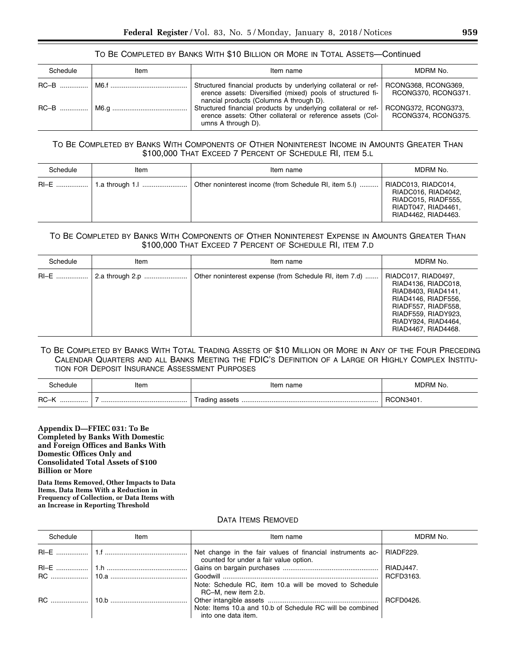### TO BE COMPLETED BY BANKS WITH \$10 BILLION OR MORE IN TOTAL ASSETS—Continued

| Schedule | Item | Item name                                                                                                                                                               | MDRM No.                                   |
|----------|------|-------------------------------------------------------------------------------------------------------------------------------------------------------------------------|--------------------------------------------|
|          |      | Structured financial products by underlying collateral or ref-<br>erence assets: Diversified (mixed) pools of structured fi-<br>nancial products (Columns A through D). | RCONG368, RCONG369,<br>RCONG370, RCONG371. |
|          |      | Structured financial products by underlying collateral or ref-<br>erence assets: Other collateral or reference assets (Col-<br>umns A through D).                       | RCONG372, RCONG373,<br>RCONG374, RCONG375. |

### TO BE COMPLETED BY BANKS WITH COMPONENTS OF OTHER NONINTEREST INCOME IN AMOUNTS GREATER THAN \$100,000 THAT EXCEED 7 PERCENT OF SCHEDULE RI, ITEM 5.L

| Schedule | Item | Item name                                             | MDRM No.                                                                                                        |
|----------|------|-------------------------------------------------------|-----------------------------------------------------------------------------------------------------------------|
|          |      | Other noninterest income (from Schedule RI, item 5.I) | RIADC013, RIADC014,<br>RIADC016, RIAD4042,<br>RIADC015, RIADF555,<br>RIADT047, RIAD4461,<br>RIAD4462, RIAD4463. |

# TO BE COMPLETED BY BANKS WITH COMPONENTS OF OTHER NONINTEREST EXPENSE IN AMOUNTS GREATER THAN \$100,000 THAT EXCEED 7 PERCENT OF SCHEDULE RI, ITEM 7.D

| Schedule | Item            | Item name                                              | MDRM No.                                                                                                                                                                             |
|----------|-----------------|--------------------------------------------------------|--------------------------------------------------------------------------------------------------------------------------------------------------------------------------------------|
| RI-E     | 2.a through 2.p | Other noninterest expense (from Schedule RI, item 7.d) | RIADC017, RIAD0497,<br>RIAD4136, RIADC018,<br>RIAD8403, RIAD4141.<br>RIAD4146, RIADF556,<br>RIADF557, RIADF558,<br>RIADF559, RIADY923,<br>RIADY924, RIAD4464,<br>RIAD4467, RIAD4468. |

# TO BE COMPLETED BY BANKS WITH TOTAL TRADING ASSETS OF \$10 MILLION OR MORE IN ANY OF THE FOUR PRECEDING CALENDAR QUARTERS AND ALL BANKS MEETING THE FDIC'S DEFINITION OF A LARGE OR HIGHLY COMPLEX INSTITU-TION FOR DEPOSIT INSURANCE ASSESSMENT PURPOSES

| :hedule      | Item | name<br>Item | MDRM No.  |
|--------------|------|--------------|-----------|
| $RC - K$<br> |      |              | RCON3401. |

**Appendix D—FFIEC 031: To Be Completed by Banks With Domestic and Foreign Offices and Banks With Domestic Offices Only and Consolidated Total Assets of \$100 Billion or More** 

**Data Items Removed, Other Impacts to Data Items, Data Items With a Reduction in Frequency of Collection, or Data Items with an Increase in Reporting Threshold** 

### DATA ITEMS REMOVED

| Schedule | Item | Item name                                                                                            | MDRM No.  |
|----------|------|------------------------------------------------------------------------------------------------------|-----------|
|          |      | Net change in the fair values of financial instruments ac-<br>counted for under a fair value option. | RIADF229. |
|          |      |                                                                                                      | RIADJ447. |
|          |      |                                                                                                      | RCFD3163. |
|          |      | Note: Schedule RC, item 10.a will be moved to Schedule<br>RC-M, new item 2.b.                        |           |
|          |      |                                                                                                      |           |
|          |      | Note: Items 10.a and 10.b of Schedule RC will be combined                                            |           |
|          |      | into one data item.                                                                                  |           |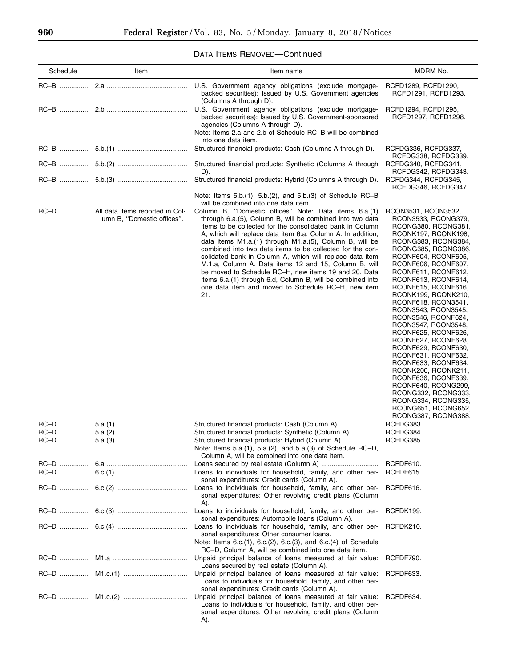| Schedule     | Item                                                          | Item name                                                                                                                                                                                                                                                                                                                                                                                                                                                                                                                                                                                                                                                                           | MDRM No.                                                                                                                                                                                                                                                                                                                                                                                                                                                                                                                                                                                                                                                         |
|--------------|---------------------------------------------------------------|-------------------------------------------------------------------------------------------------------------------------------------------------------------------------------------------------------------------------------------------------------------------------------------------------------------------------------------------------------------------------------------------------------------------------------------------------------------------------------------------------------------------------------------------------------------------------------------------------------------------------------------------------------------------------------------|------------------------------------------------------------------------------------------------------------------------------------------------------------------------------------------------------------------------------------------------------------------------------------------------------------------------------------------------------------------------------------------------------------------------------------------------------------------------------------------------------------------------------------------------------------------------------------------------------------------------------------------------------------------|
| RC-B         |                                                               | U.S. Government agency obligations (exclude mortgage-<br>backed securities): Issued by U.S. Government agencies<br>(Columns A through D).                                                                                                                                                                                                                                                                                                                                                                                                                                                                                                                                           | RCFD1289, RCFD1290,<br>RCFD1291, RCFD1293.                                                                                                                                                                                                                                                                                                                                                                                                                                                                                                                                                                                                                       |
| RC-B         |                                                               | U.S. Government agency obligations (exclude mortgage-<br>backed securities): Issued by U.S. Government-sponsored<br>agencies (Columns A through D).<br>Note: Items 2.a and 2.b of Schedule RC-B will be combined<br>into one data item.                                                                                                                                                                                                                                                                                                                                                                                                                                             | RCFD1294, RCFD1295,<br>RCFD1297, RCFD1298.                                                                                                                                                                                                                                                                                                                                                                                                                                                                                                                                                                                                                       |
|              |                                                               | Structured financial products: Cash (Columns A through D).                                                                                                                                                                                                                                                                                                                                                                                                                                                                                                                                                                                                                          | RCFDG336, RCFDG337,<br>RCFDG338, RCFDG339.                                                                                                                                                                                                                                                                                                                                                                                                                                                                                                                                                                                                                       |
|              |                                                               | Structured financial products: Synthetic (Columns A through<br>D).                                                                                                                                                                                                                                                                                                                                                                                                                                                                                                                                                                                                                  | RCFDG340, RCFDG341,<br>RCFDG342, RCFDG343.                                                                                                                                                                                                                                                                                                                                                                                                                                                                                                                                                                                                                       |
|              |                                                               | Structured financial products: Hybrid (Columns A through D).                                                                                                                                                                                                                                                                                                                                                                                                                                                                                                                                                                                                                        | RCFDG344, RCFDG345,<br>RCFDG346, RCFDG347.                                                                                                                                                                                                                                                                                                                                                                                                                                                                                                                                                                                                                       |
|              |                                                               | Note: Items 5.b.(1), 5.b.(2), and 5.b.(3) of Schedule RC-B<br>will be combined into one data item.                                                                                                                                                                                                                                                                                                                                                                                                                                                                                                                                                                                  |                                                                                                                                                                                                                                                                                                                                                                                                                                                                                                                                                                                                                                                                  |
| RC-D         | All data items reported in Col-<br>umn B, "Domestic offices". | Column B, "Domestic offices" Note: Data items 6.a.(1)<br>through 6.a.(5), Column B, will be combined into two data<br>items to be collected for the consolidated bank in Column<br>A, which will replace data item 6.a, Column A. In addition,<br>data items $M1.a.(1)$ through $M1.a.(5)$ , Column B, will be<br>combined into two data items to be collected for the con-<br>solidated bank in Column A, which will replace data item<br>M.1.a, Column A. Data items 12 and 15, Column B, will<br>be moved to Schedule RC-H, new items 19 and 20. Data<br>items 6.a.(1) through 6.d, Column B, will be combined into<br>one data item and moved to Schedule RC-H, new item<br>21. | RCON3531, RCON3532,<br>RCON3533, RCONG379,<br>RCONG380, RCONG381,<br>RCONK197, RCONK198,<br>RCONG383, RCONG384,<br>RCONG385, RCONG386,<br>RCONF604, RCONF605,<br>RCONF606, RCONF607,<br>RCONF611, RCONF612,<br>RCONF613, RCONF614,<br>RCONF615, RCONF616,<br>RCONK199, RCONK210,<br>RCONF618, RCON3541,<br>RCON3543, RCON3545,<br>RCON3546, RCONF624,<br>RCON3547, RCON3548,<br>RCONF625, RCONF626,<br>RCONF627, RCONF628,<br>RCONF629, RCONF630,<br>RCONF631, RCONF632,<br>RCONF633, RCONF634,<br>RCONK200, RCONK211,<br>RCONF636, RCONF639,<br>RCONF640, RCONG299,<br>RCONG332, RCONG333,<br>RCONG334, RCONG335,<br>RCONG651, RCONG652,<br>RCONG387, RCONG388. |
|              |                                                               | Structured financial products: Cash (Column A)                                                                                                                                                                                                                                                                                                                                                                                                                                                                                                                                                                                                                                      | RCFDG383.                                                                                                                                                                                                                                                                                                                                                                                                                                                                                                                                                                                                                                                        |
| RC-D         |                                                               | Structured financial products: Synthetic (Column A)<br>Structured financial products: Hybrid (Column A)<br>Note: Items 5.a.(1), 5.a.(2), and 5.a.(3) of Schedule RC-D,<br>Column A, will be combined into one data item.                                                                                                                                                                                                                                                                                                                                                                                                                                                            | RCFDG384.<br>RCFDG385.                                                                                                                                                                                                                                                                                                                                                                                                                                                                                                                                                                                                                                           |
| RC-D<br>RC-D |                                                               | Loans to individuals for household, family, and other per-                                                                                                                                                                                                                                                                                                                                                                                                                                                                                                                                                                                                                          | RCFDF610.<br>RCFDF615.                                                                                                                                                                                                                                                                                                                                                                                                                                                                                                                                                                                                                                           |
| RC-D         |                                                               | sonal expenditures: Credit cards (Column A).<br>Loans to individuals for household, family, and other per-<br>sonal expenditures: Other revolving credit plans (Column<br>A).                                                                                                                                                                                                                                                                                                                                                                                                                                                                                                       | RCFDF616.                                                                                                                                                                                                                                                                                                                                                                                                                                                                                                                                                                                                                                                        |
| RC-D         |                                                               | Loans to individuals for household, family, and other per-<br>sonal expenditures: Automobile Ioans (Column A).                                                                                                                                                                                                                                                                                                                                                                                                                                                                                                                                                                      | RCFDK199.                                                                                                                                                                                                                                                                                                                                                                                                                                                                                                                                                                                                                                                        |
| RC-D         |                                                               | Loans to individuals for household, family, and other per-<br>sonal expenditures: Other consumer loans.<br>Note: Items $6.c.(1)$ , $6.c.(2)$ , $6.c.(3)$ , and $6.c.(4)$ of Schedule                                                                                                                                                                                                                                                                                                                                                                                                                                                                                                | RCFDK210.                                                                                                                                                                                                                                                                                                                                                                                                                                                                                                                                                                                                                                                        |
| RC-D         |                                                               | RC-D, Column A, will be combined into one data item.<br>Unpaid principal balance of loans measured at fair value:<br>Loans secured by real estate (Column A).                                                                                                                                                                                                                                                                                                                                                                                                                                                                                                                       | RCFDF790.                                                                                                                                                                                                                                                                                                                                                                                                                                                                                                                                                                                                                                                        |
| RC-D         |                                                               | Unpaid principal balance of loans measured at fair value:<br>Loans to individuals for household, family, and other per-<br>sonal expenditures: Credit cards (Column A).                                                                                                                                                                                                                                                                                                                                                                                                                                                                                                             | RCFDF633.                                                                                                                                                                                                                                                                                                                                                                                                                                                                                                                                                                                                                                                        |
| RC-D         |                                                               | Unpaid principal balance of loans measured at fair value:<br>Loans to individuals for household, family, and other per-<br>sonal expenditures: Other revolving credit plans (Column<br>A).                                                                                                                                                                                                                                                                                                                                                                                                                                                                                          | RCFDF634.                                                                                                                                                                                                                                                                                                                                                                                                                                                                                                                                                                                                                                                        |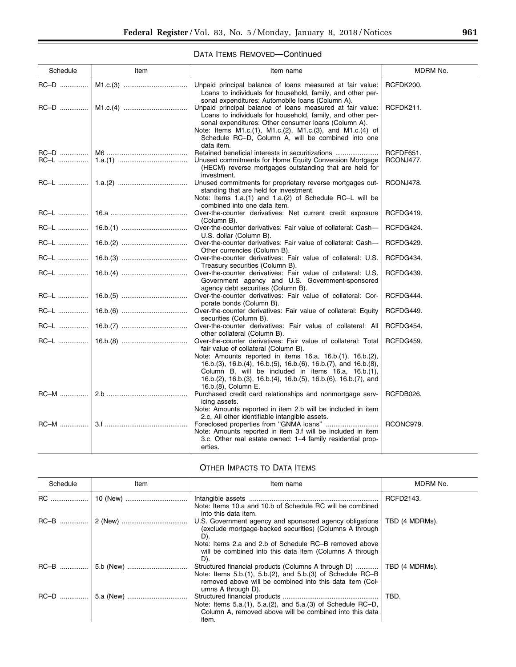$\equiv$ 

# DATA ITEMS REMOVED—Continued

| Schedule    | Item | Item name                                                                                                                                                                                                                                                                                                                                                                              | MDRM No.               |
|-------------|------|----------------------------------------------------------------------------------------------------------------------------------------------------------------------------------------------------------------------------------------------------------------------------------------------------------------------------------------------------------------------------------------|------------------------|
| RC-D        |      | Unpaid principal balance of loans measured at fair value:<br>Loans to individuals for household, family, and other per-                                                                                                                                                                                                                                                                | RCFDK200.              |
|             |      | sonal expenditures: Automobile Ioans (Column A).<br>Unpaid principal balance of loans measured at fair value:<br>Loans to individuals for household, family, and other per-<br>sonal expenditures: Other consumer loans (Column A).<br>Note: Items M1.c.(1), M1.c.(2), M1.c.(3), and M1.c.(4) of<br>Schedule RC-D, Column A, will be combined into one                                 | RCFDK211.              |
| RC-L        |      | data item.<br>Retained beneficial interests in securitizations<br>Unused commitments for Home Equity Conversion Mortgage<br>(HECM) reverse mortgages outstanding that are held for<br>investment.                                                                                                                                                                                      | RCFDF651.<br>RCONJ477. |
|             |      | Unused commitments for proprietary reverse mortgages out-<br>standing that are held for investment.<br>Note: Items 1.a.(1) and 1.a.(2) of Schedule RC-L will be<br>combined into one data item.                                                                                                                                                                                        | RCONJ478.              |
| <b>RC-L</b> |      | Over-the-counter derivatives: Net current credit exposure<br>(Column B).                                                                                                                                                                                                                                                                                                               | RCFDG419.              |
| RC-L        |      | Over-the-counter derivatives: Fair value of collateral: Cash-<br>U.S. dollar (Column B).                                                                                                                                                                                                                                                                                               | RCFDG424.              |
| RC-L        |      | Over-the-counter derivatives: Fair value of collateral: Cash-<br>Other currencies (Column B).                                                                                                                                                                                                                                                                                          | RCFDG429.              |
| RC-L        |      | Over-the-counter derivatives: Fair value of collateral: U.S.<br>Treasury securities (Column B).                                                                                                                                                                                                                                                                                        | RCFDG434.              |
| RC-L        |      | Over-the-counter derivatives: Fair value of collateral: U.S.<br>Government agency and U.S. Government-sponsored<br>agency debt securities (Column B).                                                                                                                                                                                                                                  | RCFDG439.              |
|             |      | Over-the-counter derivatives: Fair value of collateral: Cor-<br>porate bonds (Column B).                                                                                                                                                                                                                                                                                               | RCFDG444.              |
| RC-L        |      | Over-the-counter derivatives: Fair value of collateral: Equity<br>securities (Column B).                                                                                                                                                                                                                                                                                               | RCFDG449.              |
| RC-L        |      | Over-the-counter derivatives: Fair value of collateral: All<br>other collateral (Column B).                                                                                                                                                                                                                                                                                            | RCFDG454.              |
| RC-L        |      | Over-the-counter derivatives: Fair value of collateral: Total<br>fair value of collateral (Column B).<br>Note: Amounts reported in items 16.a, 16.b.(1), 16.b.(2),<br>16.b.(3), 16.b.(4), 16.b.(5), 16.b.(6), 16.b.(7), and 16.b.(8),<br>Column B, will be included in items 16.a, 16.b.(1),<br>16.b.(2), 16.b.(3), 16.b.(4), 16.b.(5), 16.b.(6), 16.b.(7), and<br>16.b.(8), Column E. | RCFDG459.              |
| RC-M        |      | Purchased credit card relationships and nonmortgage serv-<br>icing assets.<br>Note: Amounts reported in item 2.b will be included in item                                                                                                                                                                                                                                              | RCFDB026.              |
| <b>RC-M</b> |      | 2.c. All other identifiable intangible assets.<br>Note: Amounts reported in item 3.f will be included in item<br>3.c. Other real estate owned: 1-4 family residential prop-<br>erties.                                                                                                                                                                                                 | RCONC979.              |

# OTHER IMPACTS TO DATA ITEMS

| Schedule  | Item | Item name                                                                                                                                                                                                                                             | MDRM No.       |
|-----------|------|-------------------------------------------------------------------------------------------------------------------------------------------------------------------------------------------------------------------------------------------------------|----------------|
| <b>RC</b> |      | Note: Items 10.a and 10.b of Schedule RC will be combined<br>into this data item.                                                                                                                                                                     | RCFD2143.      |
|           |      | U.S. Government agency and sponsored agency obligations<br>(exclude mortgage-backed securities) (Columns A through<br>D).<br>Note: Items 2.a and 2.b of Schedule RC-B removed above<br>will be combined into this data item (Columns A through<br>D). | TBD (4 MDRMs). |
|           |      | Structured financial products (Columns A through D)<br>Note: Items $5.b.(1)$ , $5.b.(2)$ , and $5.b.(3)$ of Schedule RC-B<br>removed above will be combined into this data item (Col-<br>umns A through D).                                           | TBD (4 MDRMs). |
|           |      | Note: Items 5.a.(1), 5.a.(2), and 5.a.(3) of Schedule RC-D,<br>Column A, removed above will be combined into this data<br>item.                                                                                                                       | TBD.           |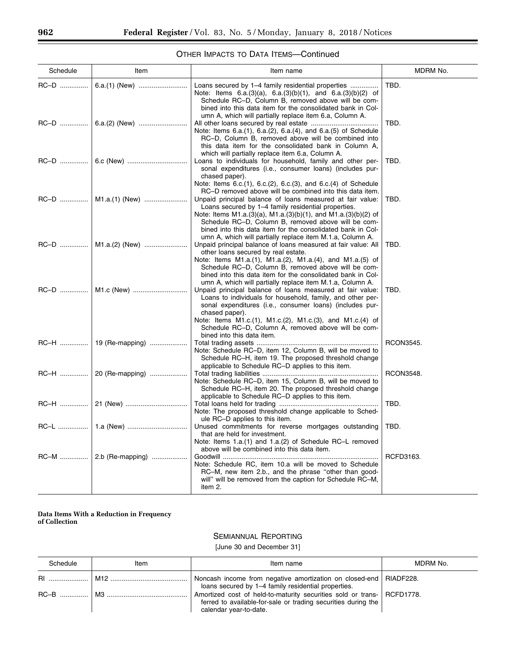e.

# OTHER IMPACTS TO DATA ITEMS—Continued

| Schedule | Item                    | Item name                                                                                                                                                                                                                                                                                                                                                                                                            | MDRM No.         |
|----------|-------------------------|----------------------------------------------------------------------------------------------------------------------------------------------------------------------------------------------------------------------------------------------------------------------------------------------------------------------------------------------------------------------------------------------------------------------|------------------|
| RC-D     | 6.a.(1) (New)           | Loans secured by 1–4 family residential properties<br>Note: Items $6.a.(3)(a)$ , $6.a.(3)(b)(1)$ , and $6.a.(3)(b)(2)$ of<br>Schedule RC-D, Column B, removed above will be com-<br>bined into this data item for the consolidated bank in Col-                                                                                                                                                                      | TBD.             |
|          |                         | umn A, which will partially replace item 6.a, Column A.<br>Note: Items 6.a.(1), 6.a.(2), 6.a.(4), and 6.a.(5) of Schedule<br>RC-D, Column B, removed above will be combined into<br>this data item for the consolidated bank in Column A,<br>which will partially replace item 6.a, Column A.                                                                                                                        | TBD.             |
|          |                         | Loans to individuals for household, family and other per-<br>sonal expenditures (i.e., consumer loans) (includes pur-<br>chased paper).<br>Note: Items 6.c.(1), 6.c.(2), 6.c.(3), and 6.c.(4) of Schedule                                                                                                                                                                                                            | TBD.             |
|          | RC-D    M1.a.(1) (New)  | RC-D removed above will be combined into this data item.<br>Unpaid principal balance of loans measured at fair value:<br>Loans secured by 1-4 family residential properties.<br>Note: Items M1.a.(3)(a), M1.a.(3)(b)(1), and M1.a.(3)(b)(2) of<br>Schedule RC-D, Column B, removed above will be com-<br>bined into this data item for the consolidated bank in Col-                                                 | TBD.             |
|          |                         | umn A, which will partially replace item M.1.a, Column A.<br>Unpaid principal balance of loans measured at fair value: All<br>other loans secured by real estate.<br>Note: Items M1.a.(1), M1.a.(2), M1.a.(4), and M1.a.(5) of<br>Schedule RC-D, Column B, removed above will be com-<br>bined into this data item for the consolidated bank in Col-                                                                 | TBD.             |
|          |                         | umn A, which will partially replace item M.1.a, Column A.<br>Unpaid principal balance of loans measured at fair value:<br>Loans to individuals for household, family, and other per-<br>sonal expenditures (i.e., consumer loans) (includes pur-<br>chased paper).<br>Note: Items M1.c.(1), M1.c.(2), M1.c.(3), and M1.c.(4) of<br>Schedule RC-D, Column A, removed above will be com-<br>bined into this data item. | TBD.             |
|          | RC-H    19 (Re-mapping) | Note: Schedule RC-D, item 12, Column B, will be moved to<br>Schedule RC-H, item 19. The proposed threshold change<br>applicable to Schedule RC-D applies to this item.                                                                                                                                                                                                                                               | RCON3545.        |
|          | RC-H    20 (Re-mapping) | Note: Schedule RC-D, item 15, Column B, will be moved to<br>Schedule RC-H, item 20. The proposed threshold change<br>applicable to Schedule RC-D applies to this item.                                                                                                                                                                                                                                               | <b>RCON3548.</b> |
| RC-H     | 21 (New)                | Note: The proposed threshold change applicable to Sched-<br>ule RC-D applies to this item.                                                                                                                                                                                                                                                                                                                           | TBD.             |
| RC-L     |                         | Unused commitments for reverse mortgages outstanding<br>that are held for investment.<br>Note: Items 1.a.(1) and 1.a.(2) of Schedule RC-L removed<br>above will be combined into this data item.                                                                                                                                                                                                                     | TBD.             |
|          |                         | Note: Schedule RC, item 10.a will be moved to Schedule<br>RC-M, new item 2.b., and the phrase "other than good-<br>will" will be removed from the caption for Schedule RC-M,<br>item 2.                                                                                                                                                                                                                              | RCFD3163.        |

#### **Data Items With a Reduction in Frequency of Collection**

# SEMIANNUAL REPORTING

[June 30 and December 31]

| Schedule | Item | Item name                                                                                                                                                         | MDRM No. |
|----------|------|-------------------------------------------------------------------------------------------------------------------------------------------------------------------|----------|
|          |      | Noncash income from negative amortization on closed-end   RIADF228.<br>loans secured by 1-4 family residential properties.                                        |          |
|          |      | Amortized cost of held-to-maturity securities sold or trans- RCFD1778.<br>ferred to available-for-sale or trading securities during the<br>calendar year-to-date. |          |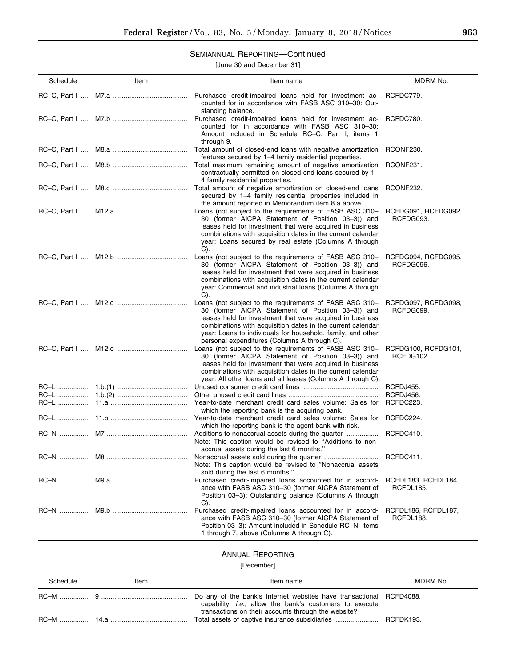# SEMIANNUAL REPORTING—Continued

[June 30 and December 31]

| Schedule        | Item | Item name                                                                                                                                                                                                                                                                                                                                               | MDRM No.                         |
|-----------------|------|---------------------------------------------------------------------------------------------------------------------------------------------------------------------------------------------------------------------------------------------------------------------------------------------------------------------------------------------------------|----------------------------------|
| $RC-C$ , Part I |      | Purchased credit-impaired loans held for investment ac-<br>counted for in accordance with FASB ASC 310-30: Out-<br>standing balance.                                                                                                                                                                                                                    | RCFDC779.                        |
|                 |      | Purchased credit-impaired loans held for investment ac-<br>counted for in accordance with FASB ASC 310-30:<br>Amount included in Schedule RC-C, Part I, items 1<br>through 9.                                                                                                                                                                           | RCFDC780.                        |
| $RC-C$ , Part I |      | Total amount of closed-end loans with negative amortization<br>features secured by 1-4 family residential properties.                                                                                                                                                                                                                                   | RCONF230.                        |
| $RC-C$ , Part I |      | Total maximum remaining amount of negative amortization<br>contractually permitted on closed-end loans secured by 1-<br>4 family residential properties.                                                                                                                                                                                                | RCONF231.                        |
|                 |      | Total amount of negative amortization on closed-end loans<br>secured by 1-4 family residential properties included in<br>the amount reported in Memorandum item 8.a above.                                                                                                                                                                              | RCONF232.                        |
|                 |      | Loans (not subject to the requirements of FASB ASC 310-<br>30 (former AICPA Statement of Position 03-3)) and<br>leases held for investment that were acquired in business<br>combinations with acquisition dates in the current calendar<br>year: Loans secured by real estate (Columns A through<br>C).                                                | RCFDG091, RCFDG092,<br>RCFDG093. |
|                 |      | Loans (not subject to the requirements of FASB ASC 310-<br>30 (former AICPA Statement of Position 03-3)) and<br>leases held for investment that were acquired in business<br>combinations with acquisition dates in the current calendar<br>year: Commercial and industrial loans (Columns A through<br>$C$ ).                                          | RCFDG094, RCFDG095,<br>RCFDG096. |
|                 |      | Loans (not subject to the requirements of FASB ASC 310-<br>30 (former AICPA Statement of Position 03-3)) and<br>leases held for investment that were acquired in business<br>combinations with acquisition dates in the current calendar<br>year: Loans to individuals for household, family, and other<br>personal expenditures (Columns A through C). | RCFDG097, RCFDG098,<br>RCFDG099. |
|                 |      | Loans (not subject to the requirements of FASB ASC 310-<br>30 (former AICPA Statement of Position 03-3)) and<br>leases held for investment that were acquired in business<br>combinations with acquisition dates in the current calendar<br>year: All other loans and all leases (Columns A through C).                                                 | RCFDG100, RCFDG101,<br>RCFDG102. |
| RC-L            |      |                                                                                                                                                                                                                                                                                                                                                         | RCFDJ455.                        |
| RC-L            |      |                                                                                                                                                                                                                                                                                                                                                         | RCFDJ456.                        |
| RC-L            |      | Year-to-date merchant credit card sales volume: Sales for                                                                                                                                                                                                                                                                                               | RCFDC223.                        |
| RC-L            |      | which the reporting bank is the acquiring bank.<br>Year-to-date merchant credit card sales volume: Sales for<br>which the reporting bank is the agent bank with risk.                                                                                                                                                                                   | RCFDC224.                        |
|                 |      | Additions to nonaccrual assets during the quarter<br>Note: This caption would be revised to "Additions to non-<br>accrual assets during the last 6 months."                                                                                                                                                                                             | RCFDC410.                        |
| <b>RC-N</b>     |      | Note: This caption would be revised to "Nonaccrual assets<br>sold during the last 6 months."                                                                                                                                                                                                                                                            | RCFDC411.                        |
|                 |      | Purchased credit-impaired loans accounted for in accord-<br>ance with FASB ASC 310-30 (former AICPA Statement of<br>Position 03–3): Outstanding balance (Columns A through<br>C).                                                                                                                                                                       | RCFDL183, RCFDL184,<br>RCFDL185. |
| RC-N            |      | Purchased credit-impaired loans accounted for in accord-<br>ance with FASB ASC 310-30 (former AICPA Statement of<br>Position 03-3): Amount included in Schedule RC-N, items<br>1 through 7, above (Columns A through C).                                                                                                                                | RCFDL186, RCFDL187,<br>RCFDL188. |

# ANNUAL REPORTING

# [December]

| Schedule | ltem | Item name                                                                                                                                                                                     | MDRM No. |
|----------|------|-----------------------------------------------------------------------------------------------------------------------------------------------------------------------------------------------|----------|
|          |      | Do any of the bank's Internet websites have transactional RCFD4088.<br>capability, <i>i.e.</i> , allow the bank's customers to execute<br>transactions on their accounts through the website? |          |
|          |      | Total assets of captive insurance subsidiaries    RCFDK193.                                                                                                                                   |          |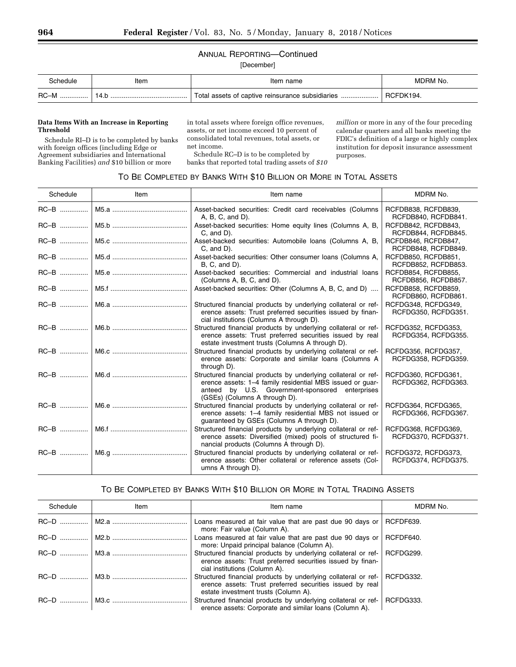# ANNUAL REPORTING—Continued

[December]

| `chedule  | Item | Item name                                        | MDRM No.  |
|-----------|------|--------------------------------------------------|-----------|
| RC-M<br>. |      | Total assets of captive reinsurance subsidiaries | RCFDK194. |

#### **Data Items With an Increase in Reporting Threshold**

Schedule RI–D is to be completed by banks with foreign offices (including Edge or Agreement subsidiaries and International Banking Facilities) *and* \$10 billion or more

in total assets where foreign office revenues, assets, or net income exceed 10 percent of consolidated total revenues, total assets, or net income.

Schedule RC–D is to be completed by banks that reported total trading assets of *\$10*  *million* or more in any of the four preceding calendar quarters and all banks meeting the FDIC's definition of a large or highly complex institution for deposit insurance assessment purposes.

### TO BE COMPLETED BY BANKS WITH \$10 BILLION OR MORE IN TOTAL ASSETS

| Schedule | Item | Item name                                                                                                                                                                                                       | MDRM No.                                   |
|----------|------|-----------------------------------------------------------------------------------------------------------------------------------------------------------------------------------------------------------------|--------------------------------------------|
|          |      | Asset-backed securities: Credit card receivables (Columns<br>$A, B, C, and D$ .                                                                                                                                 | RCFDB838, RCFDB839,<br>RCFDB840, RCFDB841. |
|          |      | Asset-backed securities: Home equity lines (Columns A, B,<br>$C$ , and $D$ ).                                                                                                                                   | RCFDB842, RCFDB843,<br>RCFDB844, RCFDB845. |
|          |      | Asset-backed securities: Automobile loans (Columns A, B,<br>$C$ , and $D$ ).                                                                                                                                    | RCFDB846, RCFDB847,<br>RCFDB848, RCFDB849. |
|          |      | Asset-backed securities: Other consumer loans (Columns A,<br>$B, C, and D$ ).                                                                                                                                   | RCFDB850, RCFDB851,<br>RCFDB852, RCFDB853. |
|          |      | Asset-backed securities: Commercial and industrial loans<br>(Columns A, B, C, and D).                                                                                                                           | RCFDB854, RCFDB855,<br>RCFDB856, RCFDB857. |
|          |      | Asset-backed securities: Other (Columns A, B, C, and D)                                                                                                                                                         | RCFDB858, RCFDB859,<br>RCFDB860, RCFDB861. |
|          |      | Structured financial products by underlying collateral or ref-<br>erence assets: Trust preferred securities issued by finan-<br>cial institutions (Columns A through D).                                        | RCFDG348, RCFDG349,<br>RCFDG350, RCFDG351. |
|          |      | Structured financial products by underlying collateral or ref-<br>erence assets: Trust preferred securities issued by real<br>estate investment trusts (Columns A through D).                                   | RCFDG352, RCFDG353,<br>RCFDG354, RCFDG355. |
|          |      | Structured financial products by underlying collateral or ref-<br>erence assets: Corporate and similar loans (Columns A<br>through D).                                                                          | RCFDG356, RCFDG357,<br>RCFDG358, RCFDG359. |
|          |      | Structured financial products by underlying collateral or ref-<br>erence assets: 1-4 family residential MBS issued or guar-<br>anteed by U.S. Government-sponsored enterprises<br>(GSEs) (Columns A through D). | RCFDG360, RCFDG361,<br>RCFDG362, RCFDG363. |
|          |      | Structured financial products by underlying collateral or ref-<br>erence assets: 1-4 family residential MBS not issued or<br>guaranteed by GSEs (Columns A through D).                                          | RCFDG364, RCFDG365,<br>RCFDG366, RCFDG367. |
|          |      | Structured financial products by underlying collateral or ref-<br>erence assets: Diversified (mixed) pools of structured fi-<br>nancial products (Columns A through D).                                         | RCFDG368, RCFDG369,<br>RCFDG370, RCFDG371. |
|          |      | Structured financial products by underlying collateral or ref-<br>erence assets: Other collateral or reference assets (Col-<br>umns A through D).                                                               | RCFDG372, RCFDG373,<br>RCFDG374, RCFDG375. |

# TO BE COMPLETED BY BANKS WITH \$10 BILLION OR MORE IN TOTAL TRADING ASSETS

| Schedule | Item | Item name                                                                                                                                                                    | MDRM No.  |
|----------|------|------------------------------------------------------------------------------------------------------------------------------------------------------------------------------|-----------|
|          |      | Loans measured at fair value that are past due 90 days or $\parallel$<br>more: Fair value (Column A).                                                                        | RCFDF639. |
|          |      | Loans measured at fair value that are past due 90 days or  <br>more: Unpaid principal balance (Column A).                                                                    | RCFDF640. |
|          |      | Structured financial products by underlying collateral or ref- RCFDG299.<br>erence assets: Trust preferred securities issued by finan-<br>cial institutions (Column A).      |           |
|          |      | Structured financial products by underlying collateral or ref- RCFDG332.<br>erence assets: Trust preferred securities issued by real<br>estate investment trusts (Column A). |           |
|          |      | Structured financial products by underlying collateral or ref-<br>erence assets: Corporate and similar loans (Column A).                                                     | RCFDG333. |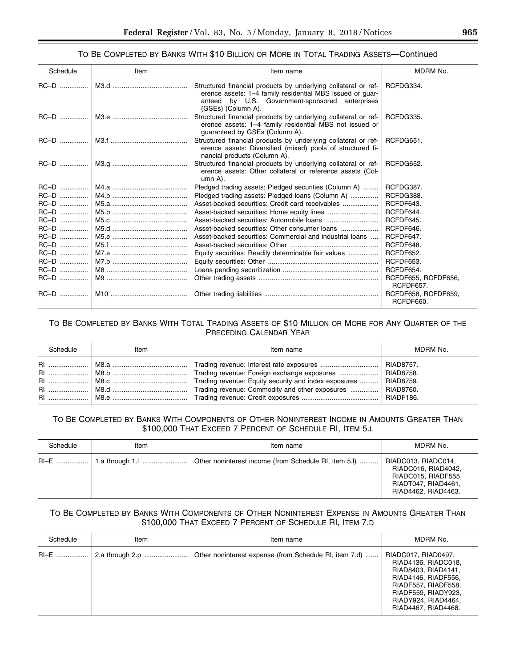### TO BE COMPLETED BY BANKS WITH \$10 BILLION OR MORE IN TOTAL TRADING ASSETS—Continued

| Schedule | Item | Item name                                                                                                                                                                                            | MDRM No.                                |
|----------|------|------------------------------------------------------------------------------------------------------------------------------------------------------------------------------------------------------|-----------------------------------------|
| RC-D     |      | Structured financial products by underlying collateral or ref-<br>erence assets: 1-4 family residential MBS issued or guar-<br>anteed by U.S. Government-sponsored enterprises<br>(GSEs) (Column A). | RCFDG334.                               |
|          |      | Structured financial products by underlying collateral or ref-<br>erence assets: 1-4 family residential MBS not issued or<br>guaranteed by GSEs (Column A).                                          | RCFDG335.                               |
|          |      | Structured financial products by underlying collateral or ref-<br>erence assets: Diversified (mixed) pools of structured fi-<br>nancial products (Column A).                                         | RCFDG651.                               |
|          |      | Structured financial products by underlying collateral or ref-<br>erence assets: Other collateral or reference assets (Col-<br>$umn A$ ).                                                            | RCFDG652.                               |
|          |      | Pledged trading assets: Pledged securities (Column A)                                                                                                                                                | RCFDG387.                               |
|          |      | Pledged trading assets: Pledged loans (Column A)                                                                                                                                                     | RCFDG388.                               |
| $RC-D$   |      | Asset-backed securities: Credit card receivables                                                                                                                                                     | RCFDF643.                               |
| $RC-D$   |      |                                                                                                                                                                                                      | RCFDF644.                               |
| $RC-D$   |      |                                                                                                                                                                                                      | RCFDF645.                               |
| RC-D     |      | Asset-backed securities: Other consumer loans                                                                                                                                                        | RCFDF646.                               |
| $RC-D$   |      | Asset-backed securities: Commercial and industrial loans                                                                                                                                             | RCFDF647.                               |
| RC-D     |      |                                                                                                                                                                                                      | RCFDF648.                               |
|          |      | Equity securities: Readily determinable fair values                                                                                                                                                  | RCFDF652.                               |
| RC-D     |      |                                                                                                                                                                                                      | RCFDF653.                               |
| $RC-D$   |      |                                                                                                                                                                                                      | RCFDF654.                               |
| RC-D     |      |                                                                                                                                                                                                      | RCFDF655, RCFDF656,<br>RCFDF657.        |
|          |      |                                                                                                                                                                                                      | RCFDF658, RCFDF659,<br><b>RCFDF660.</b> |

## TO BE COMPLETED BY BANKS WITH TOTAL TRADING ASSETS OF \$10 MILLION OR MORE FOR ANY QUARTER OF THE PRECEDING CALENDAR YEAR

| Schedule  | Item | Item name                                                                                                                                                                                  | MDRM No.               |
|-----------|------|--------------------------------------------------------------------------------------------------------------------------------------------------------------------------------------------|------------------------|
| <b>RI</b> |      | Trading revenue: Foreign exchange exposures   RIAD8758.<br>Trading revenue: Equity security and index exposures    RIAD8759.<br>Trading revenue: Commodity and other exposures   RIAD8760. | RIAD8757.<br>RIADF186. |

## TO BE COMPLETED BY BANKS WITH COMPONENTS OF OTHER NONINTEREST INCOME IN AMOUNTS GREATER THAN \$100,000 THAT EXCEED 7 PERCENT OF SCHEDULE RI, ITEM 5.L

| Schedule | Item | Item name                                             | MDRM No.                                                                                                        |
|----------|------|-------------------------------------------------------|-----------------------------------------------------------------------------------------------------------------|
|          |      | Other noninterest income (from Schedule RI, item 5.I) | RIADC013, RIADC014,<br>RIADC016, RIAD4042,<br>RIADC015, RIADF555,<br>RIADT047, RIAD4461,<br>RIAD4462, RIAD4463. |

# TO BE COMPLETED BY BANKS WITH COMPONENTS OF OTHER NONINTEREST EXPENSE IN AMOUNTS GREATER THAN \$100,000 THAT EXCEED 7 PERCENT OF SCHEDULE RI, ITEM 7.D

| Schedule | Item            | Item name                                              | MDRM No.                                                                                                                                                                             |
|----------|-----------------|--------------------------------------------------------|--------------------------------------------------------------------------------------------------------------------------------------------------------------------------------------|
|          | 2.a through 2.p | Other noninterest expense (from Schedule RI, item 7.d) | RIADC017, RIAD0497,<br>RIAD4136, RIADC018,<br>RIAD8403, RIAD4141,<br>RIAD4146, RIADF556,<br>RIADF557, RIADF558,<br>RIADF559, RIADY923,<br>RIADY924, RIAD4464,<br>RIAD4467, RIAD4468. |